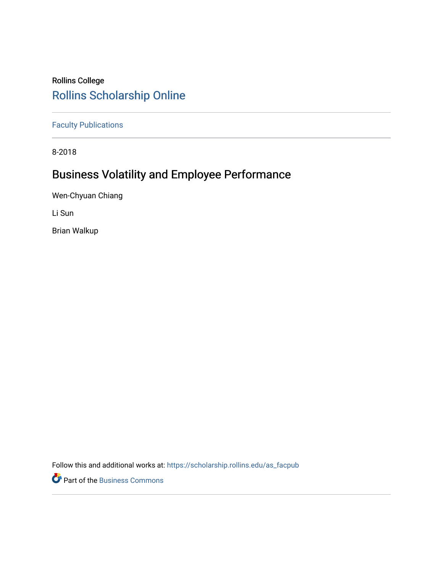# Rollins College [Rollins Scholarship Online](https://scholarship.rollins.edu/)

[Faculty Publications](https://scholarship.rollins.edu/as_facpub)

8-2018

# Business Volatility and Employee Performance

Wen-Chyuan Chiang

Li Sun

Brian Walkup

Follow this and additional works at: [https://scholarship.rollins.edu/as\\_facpub](https://scholarship.rollins.edu/as_facpub?utm_source=scholarship.rollins.edu%2Fas_facpub%2F247&utm_medium=PDF&utm_campaign=PDFCoverPages) 

**P** Part of the [Business Commons](https://network.bepress.com/hgg/discipline/622?utm_source=scholarship.rollins.edu%2Fas_facpub%2F247&utm_medium=PDF&utm_campaign=PDFCoverPages)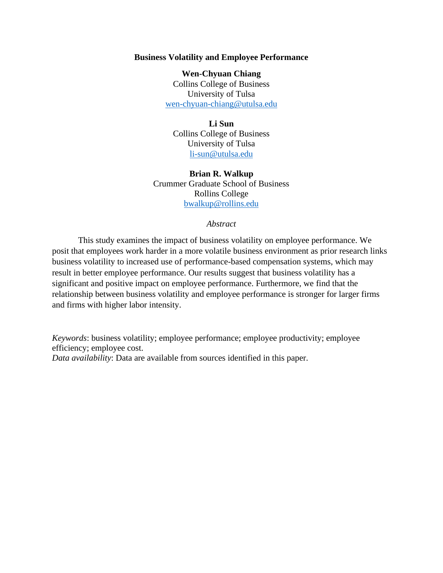## **Business Volatility and Employee Performance**

**Wen-Chyuan Chiang** Collins College of Business University of Tulsa [wen-chyuan-chiang@utulsa.edu](mailto:wen-chyuan-chiang@utulsa.edu)

# **Li Sun** Collins College of Business University of Tulsa [li-sun@utulsa.edu](mailto:li-sun@utulsa.edu)

**Brian R. Walkup** Crummer Graduate School of Business Rollins College [bwalkup@rollins.edu](mailto:bwalkup@rollins.edu)

## *Abstract*

This study examines the impact of business volatility on employee performance. We posit that employees work harder in a more volatile business environment as prior research links business volatility to increased use of performance-based compensation systems, which may result in better employee performance. Our results suggest that business volatility has a significant and positive impact on employee performance. Furthermore, we find that the relationship between business volatility and employee performance is stronger for larger firms and firms with higher labor intensity.

*Keywords*: business volatility; employee performance; employee productivity; employee efficiency; employee cost. *Data availability*: Data are available from sources identified in this paper.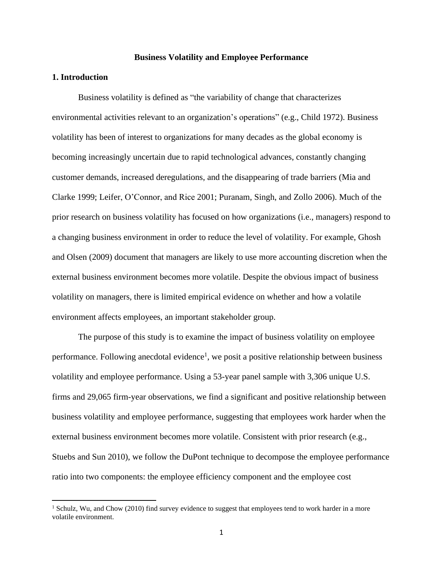## **Business Volatility and Employee Performance**

# **1. Introduction**

Business volatility is defined as "the variability of change that characterizes environmental activities relevant to an organization's operations" (e.g., Child 1972). Business volatility has been of interest to organizations for many decades as the global economy is becoming increasingly uncertain due to rapid technological advances, constantly changing customer demands, increased deregulations, and the disappearing of trade barriers (Mia and Clarke 1999; Leifer, O'Connor, and Rice 2001; Puranam, Singh, and Zollo 2006). Much of the prior research on business volatility has focused on how organizations (i.e., managers) respond to a changing business environment in order to reduce the level of volatility. For example, Ghosh and Olsen (2009) document that managers are likely to use more accounting discretion when the external business environment becomes more volatile. Despite the obvious impact of business volatility on managers, there is limited empirical evidence on whether and how a volatile environment affects employees, an important stakeholder group.

The purpose of this study is to examine the impact of business volatility on employee performance. Following anecdotal evidence<sup>1</sup>, we posit a positive relationship between business volatility and employee performance. Using a 53-year panel sample with 3,306 unique U.S. firms and 29,065 firm-year observations, we find a significant and positive relationship between business volatility and employee performance, suggesting that employees work harder when the external business environment becomes more volatile. Consistent with prior research (e.g., Stuebs and Sun 2010), we follow the DuPont technique to decompose the employee performance ratio into two components: the employee efficiency component and the employee cost

 $<sup>1</sup>$  Schulz, Wu, and Chow (2010) find survey evidence to suggest that employees tend to work harder in a more</sup> volatile environment.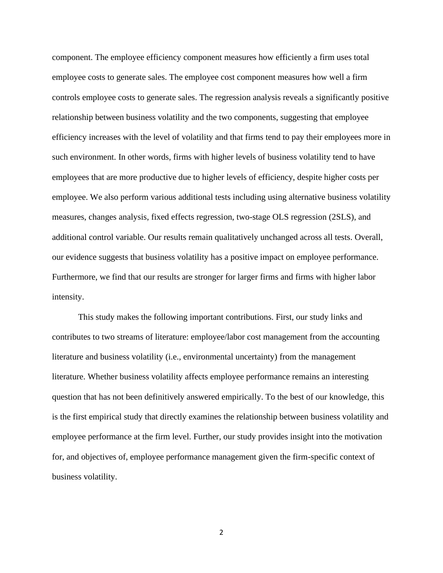component. The employee efficiency component measures how efficiently a firm uses total employee costs to generate sales. The employee cost component measures how well a firm controls employee costs to generate sales. The regression analysis reveals a significantly positive relationship between business volatility and the two components, suggesting that employee efficiency increases with the level of volatility and that firms tend to pay their employees more in such environment. In other words, firms with higher levels of business volatility tend to have employees that are more productive due to higher levels of efficiency, despite higher costs per employee. We also perform various additional tests including using alternative business volatility measures, changes analysis, fixed effects regression, two-stage OLS regression (2SLS), and additional control variable. Our results remain qualitatively unchanged across all tests. Overall, our evidence suggests that business volatility has a positive impact on employee performance. Furthermore, we find that our results are stronger for larger firms and firms with higher labor intensity.

This study makes the following important contributions. First, our study links and contributes to two streams of literature: employee/labor cost management from the accounting literature and business volatility (i.e., environmental uncertainty) from the management literature. Whether business volatility affects employee performance remains an interesting question that has not been definitively answered empirically. To the best of our knowledge, this is the first empirical study that directly examines the relationship between business volatility and employee performance at the firm level. Further, our study provides insight into the motivation for, and objectives of, employee performance management given the firm-specific context of business volatility.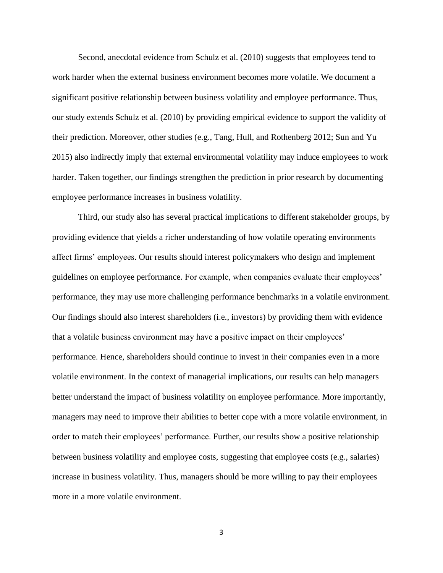Second, anecdotal evidence from Schulz et al. (2010) suggests that employees tend to work harder when the external business environment becomes more volatile. We document a significant positive relationship between business volatility and employee performance. Thus, our study extends Schulz et al. (2010) by providing empirical evidence to support the validity of their prediction. Moreover, other studies (e.g., Tang, Hull, and Rothenberg 2012; Sun and Yu 2015) also indirectly imply that external environmental volatility may induce employees to work harder. Taken together, our findings strengthen the prediction in prior research by documenting employee performance increases in business volatility.

Third, our study also has several practical implications to different stakeholder groups, by providing evidence that yields a richer understanding of how volatile operating environments affect firms' employees. Our results should interest policymakers who design and implement guidelines on employee performance. For example, when companies evaluate their employees' performance, they may use more challenging performance benchmarks in a volatile environment. Our findings should also interest shareholders (i.e., investors) by providing them with evidence that a volatile business environment may have a positive impact on their employees' performance. Hence, shareholders should continue to invest in their companies even in a more volatile environment. In the context of managerial implications, our results can help managers better understand the impact of business volatility on employee performance. More importantly, managers may need to improve their abilities to better cope with a more volatile environment, in order to match their employees' performance. Further, our results show a positive relationship between business volatility and employee costs, suggesting that employee costs (e.g., salaries) increase in business volatility. Thus, managers should be more willing to pay their employees more in a more volatile environment.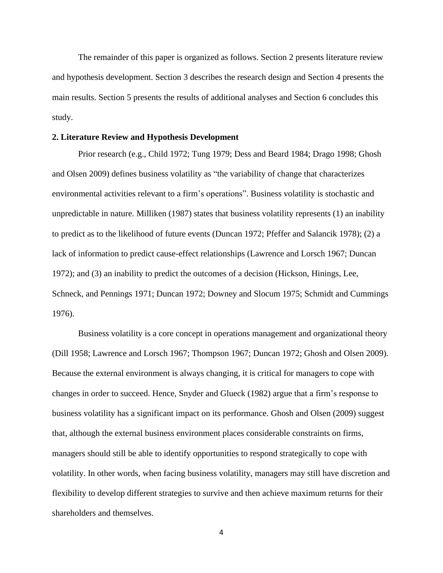The remainder of this paper is organized as follows. Section 2 presents literature review and hypothesis development. Section 3 describes the research design and Section 4 presents the main results. Section 5 presents the results of additional analyses and Section 6 concludes this study.

## **2. Literature Review and Hypothesis Development**

Prior research (e.g., Child 1972; Tung 1979; Dess and Beard 1984; Drago 1998; Ghosh and Olsen 2009) defines business volatility as "the variability of change that characterizes environmental activities relevant to a firm's operations". Business volatility is stochastic and unpredictable in nature. Milliken (1987) states that business volatility represents (1) an inability to predict as to the likelihood of future events (Duncan 1972; Pfeffer and Salancik 1978); (2) a lack of information to predict cause-effect relationships (Lawrence and Lorsch 1967; Duncan 1972); and (3) an inability to predict the outcomes of a decision (Hickson, Hinings, Lee, Schneck, and Pennings 1971; Duncan 1972; Downey and Slocum 1975; Schmidt and Cummings 1976).

Business volatility is a core concept in operations management and organizational theory (Dill 1958; Lawrence and Lorsch 1967; Thompson 1967; Duncan 1972; Ghosh and Olsen 2009). Because the external environment is always changing, it is critical for managers to cope with changes in order to succeed. Hence, Snyder and Glueck (1982) argue that a firm's response to business volatility has a significant impact on its performance. Ghosh and Olsen (2009) suggest that, although the external business environment places considerable constraints on firms, managers should still be able to identify opportunities to respond strategically to cope with volatility. In other words, when facing business volatility, managers may still have discretion and flexibility to develop different strategies to survive and then achieve maximum returns for their shareholders and themselves.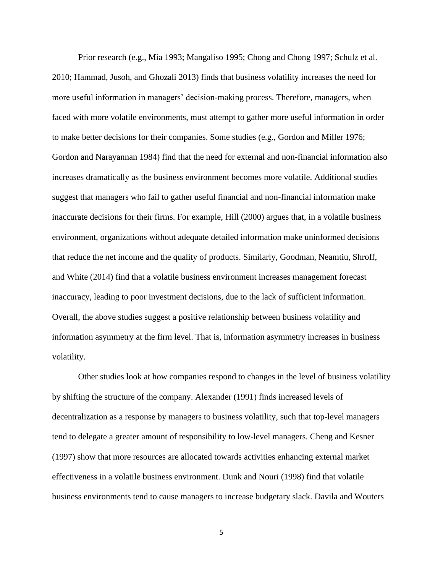Prior research (e.g., Mia 1993; Mangaliso 1995; Chong and Chong 1997; Schulz et al. 2010; Hammad, Jusoh, and Ghozali 2013) finds that business volatility increases the need for more useful information in managers' decision-making process. Therefore, managers, when faced with more volatile environments, must attempt to gather more useful information in order to make better decisions for their companies. Some studies (e.g., Gordon and Miller 1976; Gordon and Narayannan 1984) find that the need for external and non-financial information also increases dramatically as the business environment becomes more volatile. Additional studies suggest that managers who fail to gather useful financial and non-financial information make inaccurate decisions for their firms. For example, Hill (2000) argues that, in a volatile business environment, organizations without adequate detailed information make uninformed decisions that reduce the net income and the quality of products. Similarly, Goodman, Neamtiu, Shroff, and White (2014) find that a volatile business environment increases management forecast inaccuracy, leading to poor investment decisions, due to the lack of sufficient information. Overall, the above studies suggest a positive relationship between business volatility and information asymmetry at the firm level. That is, information asymmetry increases in business volatility.

Other studies look at how companies respond to changes in the level of business volatility by shifting the structure of the company. Alexander (1991) finds increased levels of decentralization as a response by managers to business volatility, such that top-level managers tend to delegate a greater amount of responsibility to low-level managers. Cheng and Kesner (1997) show that more resources are allocated towards activities enhancing external market effectiveness in a volatile business environment. Dunk and Nouri (1998) find that volatile business environments tend to cause managers to increase budgetary slack. Davila and Wouters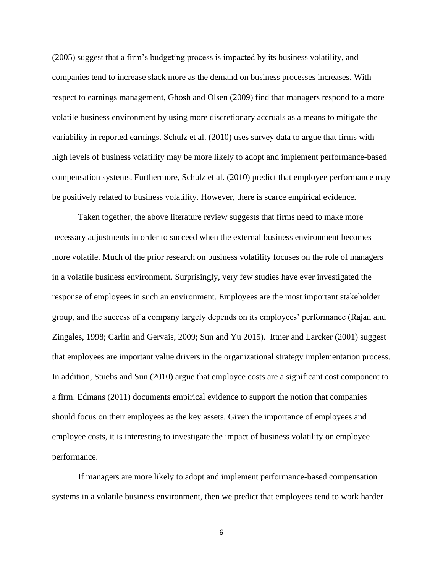(2005) suggest that a firm's budgeting process is impacted by its business volatility, and companies tend to increase slack more as the demand on business processes increases. With respect to earnings management, Ghosh and Olsen (2009) find that managers respond to a more volatile business environment by using more discretionary accruals as a means to mitigate the variability in reported earnings. Schulz et al. (2010) uses survey data to argue that firms with high levels of business volatility may be more likely to adopt and implement performance-based compensation systems. Furthermore, Schulz et al. (2010) predict that employee performance may be positively related to business volatility. However, there is scarce empirical evidence.

Taken together, the above literature review suggests that firms need to make more necessary adjustments in order to succeed when the external business environment becomes more volatile. Much of the prior research on business volatility focuses on the role of managers in a volatile business environment. Surprisingly, very few studies have ever investigated the response of employees in such an environment. Employees are the most important stakeholder group, and the success of a company largely depends on its employees' performance (Rajan and Zingales, 1998; Carlin and Gervais, 2009; Sun and Yu 2015). Ittner and Larcker (2001) suggest that employees are important value drivers in the organizational strategy implementation process. In addition, Stuebs and Sun (2010) argue that employee costs are a significant cost component to a firm. Edmans (2011) documents empirical evidence to support the notion that companies should focus on their employees as the key assets. Given the importance of employees and employee costs, it is interesting to investigate the impact of business volatility on employee performance.

If managers are more likely to adopt and implement performance-based compensation systems in a volatile business environment, then we predict that employees tend to work harder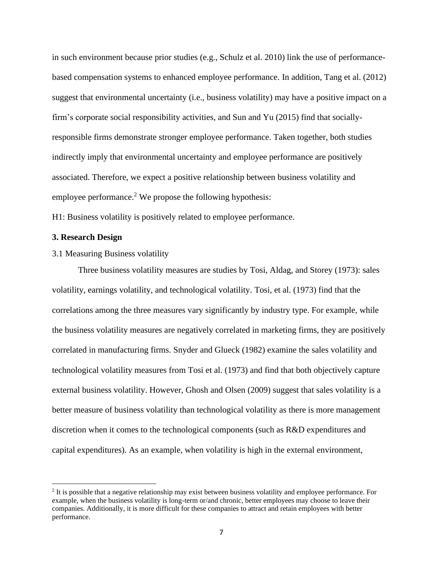in such environment because prior studies (e.g., Schulz et al. 2010) link the use of performancebased compensation systems to enhanced employee performance. In addition, Tang et al. (2012) suggest that environmental uncertainty (i.e., business volatility) may have a positive impact on a firm's corporate social responsibility activities, and Sun and Yu (2015) find that sociallyresponsible firms demonstrate stronger employee performance. Taken together, both studies indirectly imply that environmental uncertainty and employee performance are positively associated. Therefore, we expect a positive relationship between business volatility and employee performance.<sup>2</sup> We propose the following hypothesis:

H1: Business volatility is positively related to employee performance.

# **3. Research Design**

3.1 Measuring Business volatility

Three business volatility measures are studies by Tosi, Aldag, and Storey (1973): sales volatility, earnings volatility, and technological volatility. Tosi, et al. (1973) find that the correlations among the three measures vary significantly by industry type. For example, while the business volatility measures are negatively correlated in marketing firms, they are positively correlated in manufacturing firms. Snyder and Glueck (1982) examine the sales volatility and technological volatility measures from Tosi et al. (1973) and find that both objectively capture external business volatility. However, Ghosh and Olsen (2009) suggest that sales volatility is a better measure of business volatility than technological volatility as there is more management discretion when it comes to the technological components (such as R&D expenditures and capital expenditures). As an example, when volatility is high in the external environment,

<sup>&</sup>lt;sup>2</sup> It is possible that a negative relationship may exist between business volatility and employee performance. For example, when the business volatility is long-term or/and chronic, better employees may choose to leave their companies. Additionally, it is more difficult for these companies to attract and retain employees with better performance.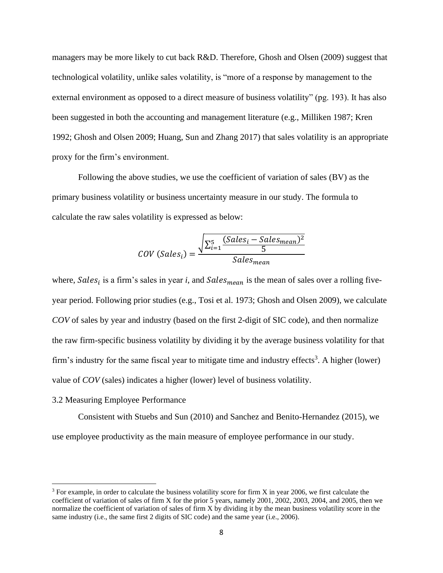managers may be more likely to cut back R&D. Therefore, Ghosh and Olsen (2009) suggest that technological volatility, unlike sales volatility, is "more of a response by management to the external environment as opposed to a direct measure of business volatility" (pg. 193). It has also been suggested in both the accounting and management literature (e.g., Milliken 1987; Kren 1992; Ghosh and Olsen 2009; Huang, Sun and Zhang 2017) that sales volatility is an appropriate proxy for the firm's environment.

Following the above studies, we use the coefficient of variation of sales (BV) as the primary business volatility or business uncertainty measure in our study. The formula to calculate the raw sales volatility is expressed as below:

$$
COV (Salesi) = \frac{\sqrt{\sum_{i=1}^{5} (Salesi - Salesmean)2}}{Salesmean}
$$

where,  $Sales_i$  is a firm's sales in year *i*, and  $Sales_{mean}$  is the mean of sales over a rolling fiveyear period. Following prior studies (e.g., Tosi et al. 1973; Ghosh and Olsen 2009), we calculate *COV* of sales by year and industry (based on the first 2-digit of SIC code), and then normalize the raw firm-specific business volatility by dividing it by the average business volatility for that firm's industry for the same fiscal year to mitigate time and industry effects<sup>3</sup>. A higher (lower) value of *COV* (sales) indicates a higher (lower) level of business volatility.

#### 3.2 Measuring Employee Performance

Consistent with Stuebs and Sun (2010) and Sanchez and Benito-Hernandez (2015), we use employee productivity as the main measure of employee performance in our study.

 $3$  For example, in order to calculate the business volatility score for firm X in year 2006, we first calculate the coefficient of variation of sales of firm X for the prior 5 years, namely 2001, 2002, 2003, 2004, and 2005, then we normalize the coefficient of variation of sales of firm X by dividing it by the mean business volatility score in the same industry (i.e., the same first 2 digits of SIC code) and the same year (i.e., 2006).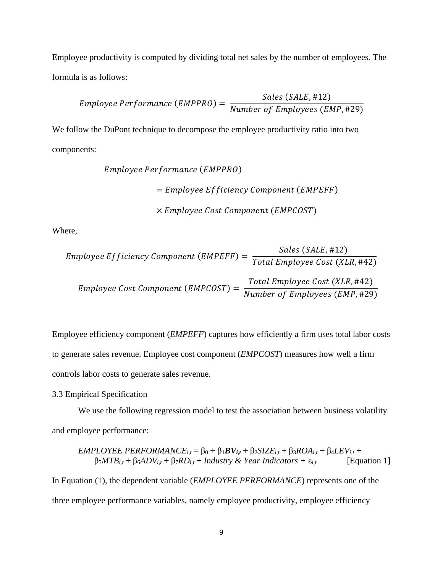Employee productivity is computed by dividing total net sales by the number of employees. The formula is as follows:

*Employee Performance (EMPPRO)* = 
$$
\frac{Sales (SALE, #12)}{Number of Employes (EMP, #29)}
$$

We follow the DuPont technique to decompose the employee productivity ratio into two components:

Employee Performance (EMPPRO)

\n
$$
= Employee Efficiency Component (EMPEFF)
$$

\n
$$
\times Employee Cost Component (EMPCOST)
$$

Where,

*Employee Efficiency Component (EMPEFF)* = 
$$
\frac{Sales (SALE, #12)}{Total Employee Cost (XLR, #42)}
$$
*Employee Cost Component (EMPCOST)* = 
$$
\frac{Total Employee Cost (XLR, #42)}{Number of Employee Cost (KRR, #42)}
$$

Employee efficiency component (*EMPEFF*) captures how efficiently a firm uses total labor costs to generate sales revenue. Employee cost component (*EMPCOST*) measures how well a firm controls labor costs to generate sales revenue.

3.3 Empirical Specification

We use the following regression model to test the association between business volatility and employee performance:

*EMPLOYE PERFORMANCE*<sub>i,t</sub> = 
$$
\beta_0 + \beta_1 BV_{i,t} + \beta_2 SIZE_{i,t} + \beta_3 ROA_{i,t} + \beta_4 LEV_{i,t} + \beta_5 MTB_{i,t} + \beta_6 ADV_{i,t} + \beta_7 RD_{i,t} + Industry & Year Indicators + \varepsilon_{i,t}
$$
 [Equation 1]  
In Equation (1), the dependent variable (*EMPLOYE PERFORMANCE*) represents one of the  
three employee performance variables, namely employee productivity, employee efficiency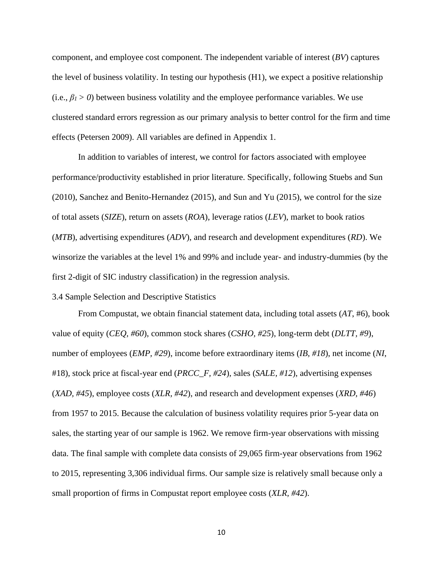component, and employee cost component. The independent variable of interest (*BV*) captures the level of business volatility. In testing our hypothesis (H1), we expect a positive relationship  $(i.e.,  $\beta_l > 0$ ) between business volatility and the employee performance variables. We use$ clustered standard errors regression as our primary analysis to better control for the firm and time effects (Petersen 2009). All variables are defined in Appendix 1.

In addition to variables of interest, we control for factors associated with employee performance/productivity established in prior literature. Specifically, following Stuebs and Sun (2010), Sanchez and Benito-Hernandez (2015), and Sun and Yu (2015), we control for the size of total assets (*SIZE*), return on assets (*ROA*), leverage ratios (*LEV*), market to book ratios (*MTB*), advertising expenditures (*ADV*), and research and development expenditures (*RD*). We winsorize the variables at the level 1% and 99% and include year- and industry-dummies (by the first 2-digit of SIC industry classification) in the regression analysis.

#### 3.4 Sample Selection and Descriptive Statistics

From Compustat, we obtain financial statement data, including total assets (*AT*, #6), book value of equity (*CEQ, #60*), common stock shares (*CSHO, #25*), long-term debt (*DLTT, #9*), number of employees (*EMP, #29*), income before extraordinary items (*IB, #18*), net income (*NI*, #18), stock price at fiscal-year end (*PRCC\_F, #24*), sales (*SALE, #12*), advertising expenses (*XAD, #45*), employee costs (*XLR, #42*), and research and development expenses (*XRD, #46*) from 1957 to 2015. Because the calculation of business volatility requires prior 5-year data on sales, the starting year of our sample is 1962. We remove firm-year observations with missing data. The final sample with complete data consists of 29,065 firm-year observations from 1962 to 2015, representing 3,306 individual firms. Our sample size is relatively small because only a small proportion of firms in Compustat report employee costs (*XLR, #42*).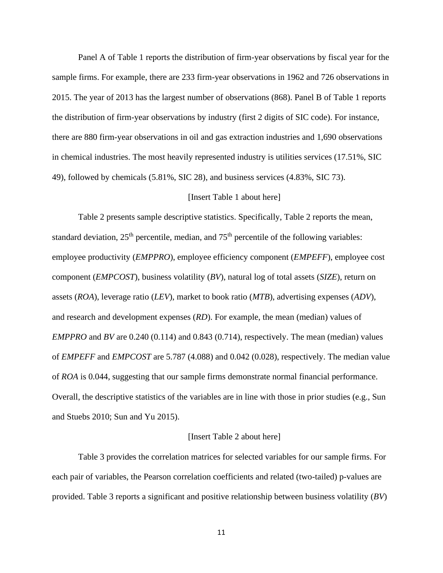Panel A of Table 1 reports the distribution of firm-year observations by fiscal year for the sample firms. For example, there are 233 firm-year observations in 1962 and 726 observations in 2015. The year of 2013 has the largest number of observations (868). Panel B of Table 1 reports the distribution of firm-year observations by industry (first 2 digits of SIC code). For instance, there are 880 firm-year observations in oil and gas extraction industries and 1,690 observations in chemical industries. The most heavily represented industry is utilities services (17.51%, SIC 49), followed by chemicals (5.81%, SIC 28), and business services (4.83%, SIC 73).

# [Insert Table 1 about here]

Table 2 presents sample descriptive statistics. Specifically, Table 2 reports the mean, standard deviation,  $25<sup>th</sup>$  percentile, median, and  $75<sup>th</sup>$  percentile of the following variables: employee productivity (*EMPPRO*), employee efficiency component (*EMPEFF*), employee cost component (*EMPCOST*), business volatility (*BV*), natural log of total assets (*SIZE*), return on assets (*ROA*), leverage ratio (*LEV*), market to book ratio (*MTB*), advertising expenses (*ADV*), and research and development expenses (*RD*). For example, the mean (median) values of *EMPPRO* and *BV* are 0.240 (0.114) and 0.843 (0.714), respectively. The mean (median) values of *EMPEFF* and *EMPCOST* are 5.787 (4.088) and 0.042 (0.028), respectively. The median value of *ROA* is 0.044, suggesting that our sample firms demonstrate normal financial performance. Overall, the descriptive statistics of the variables are in line with those in prior studies (e.g., Sun and Stuebs 2010; Sun and Yu 2015).

#### [Insert Table 2 about here]

Table 3 provides the correlation matrices for selected variables for our sample firms. For each pair of variables, the Pearson correlation coefficients and related (two-tailed) p-values are provided. Table 3 reports a significant and positive relationship between business volatility (*BV*)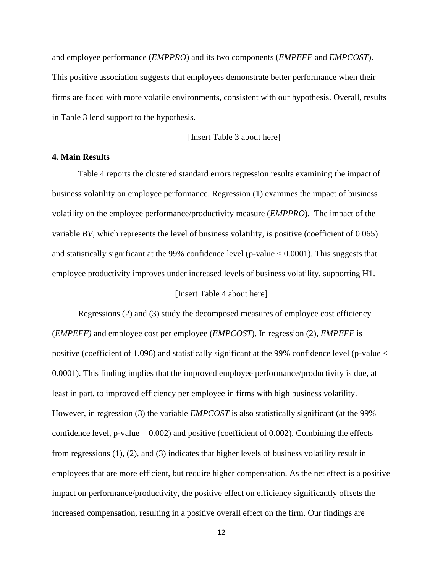and employee performance (*EMPPRO*) and its two components (*EMPEFF* and *EMPCOST*). This positive association suggests that employees demonstrate better performance when their firms are faced with more volatile environments, consistent with our hypothesis. Overall, results in Table 3 lend support to the hypothesis.

# [Insert Table 3 about here]

# **4. Main Results**

Table 4 reports the clustered standard errors regression results examining the impact of business volatility on employee performance. Regression (1) examines the impact of business volatility on the employee performance/productivity measure (*EMPPRO*). The impact of the variable *BV*, which represents the level of business volatility, is positive (coefficient of 0.065) and statistically significant at the 99% confidence level (p-value < 0.0001). This suggests that employee productivity improves under increased levels of business volatility, supporting H1.

## [Insert Table 4 about here]

Regressions (2) and (3) study the decomposed measures of employee cost efficiency (*EMPEFF)* and employee cost per employee (*EMPCOST*). In regression (2), *EMPEFF* is positive (coefficient of 1.096) and statistically significant at the 99% confidence level (p-value < 0.0001). This finding implies that the improved employee performance/productivity is due, at least in part, to improved efficiency per employee in firms with high business volatility. However, in regression (3) the variable *EMPCOST* is also statistically significant (at the 99% confidence level, p-value  $= 0.002$ ) and positive (coefficient of 0.002). Combining the effects from regressions (1), (2), and (3) indicates that higher levels of business volatility result in employees that are more efficient, but require higher compensation. As the net effect is a positive impact on performance/productivity, the positive effect on efficiency significantly offsets the increased compensation, resulting in a positive overall effect on the firm. Our findings are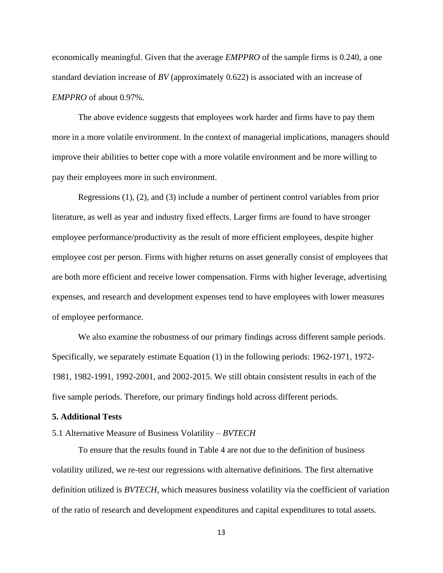economically meaningful. Given that the average *EMPPRO* of the sample firms is 0.240, a one standard deviation increase of *BV* (approximately 0.622) is associated with an increase of *EMPPRO* of about 0.97%.

The above evidence suggests that employees work harder and firms have to pay them more in a more volatile environment. In the context of managerial implications, managers should improve their abilities to better cope with a more volatile environment and be more willing to pay their employees more in such environment.

Regressions (1), (2), and (3) include a number of pertinent control variables from prior literature, as well as year and industry fixed effects. Larger firms are found to have stronger employee performance/productivity as the result of more efficient employees, despite higher employee cost per person. Firms with higher returns on asset generally consist of employees that are both more efficient and receive lower compensation. Firms with higher leverage, advertising expenses, and research and development expenses tend to have employees with lower measures of employee performance.

We also examine the robustness of our primary findings across different sample periods. Specifically, we separately estimate Equation (1) in the following periods: 1962-1971, 1972- 1981, 1982-1991, 1992-2001, and 2002-2015. We still obtain consistent results in each of the five sample periods. Therefore, our primary findings hold across different periods.

#### **5. Additional Tests**

# 5.1 Alternative Measure of Business Volatility – *BVTECH*

To ensure that the results found in Table 4 are not due to the definition of business volatility utilized, we re-test our regressions with alternative definitions. The first alternative definition utilized is *BVTECH,* which measures business volatility via the coefficient of variation of the ratio of research and development expenditures and capital expenditures to total assets.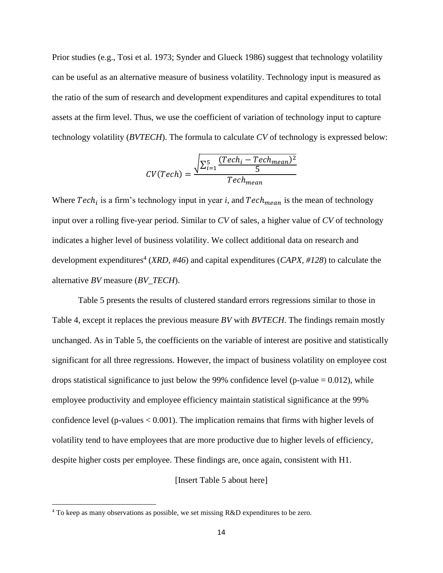Prior studies (e.g., Tosi et al. 1973; Synder and Glueck 1986) suggest that technology volatility can be useful as an alternative measure of business volatility. Technology input is measured as the ratio of the sum of research and development expenditures and capital expenditures to total assets at the firm level. Thus, we use the coefficient of variation of technology input to capture technology volatility (*BVTECH*). The formula to calculate *CV* of technology is expressed below:

$$
CV(Tech) = \frac{\sqrt{\sum_{i=1}^{5} \frac{(Tech_i - Tech_{mean})^2}{5}}}{Tech_{mean}}
$$

Where  $Tech_i$  is a firm's technology input in year *i*, and  $Tech_{mean}$  is the mean of technology input over a rolling five-year period. Similar to *CV* of sales, a higher value of *CV* of technology indicates a higher level of business volatility. We collect additional data on research and development expenditures<sup>4</sup> (*XRD, #46*) and capital expenditures (*CAPX, #128*) to calculate the alternative *BV* measure (*BV\_TECH*).

Table 5 presents the results of clustered standard errors regressions similar to those in Table 4, except it replaces the previous measure *BV* with *BVTECH*. The findings remain mostly unchanged. As in Table 5, the coefficients on the variable of interest are positive and statistically significant for all three regressions. However, the impact of business volatility on employee cost drops statistical significance to just below the 99% confidence level (p-value  $= 0.012$ ), while employee productivity and employee efficiency maintain statistical significance at the 99% confidence level (p-values  $< 0.001$ ). The implication remains that firms with higher levels of volatility tend to have employees that are more productive due to higher levels of efficiency, despite higher costs per employee. These findings are, once again, consistent with H1.

[Insert Table 5 about here]

<sup>&</sup>lt;sup>4</sup> To keep as many observations as possible, we set missing R&D expenditures to be zero.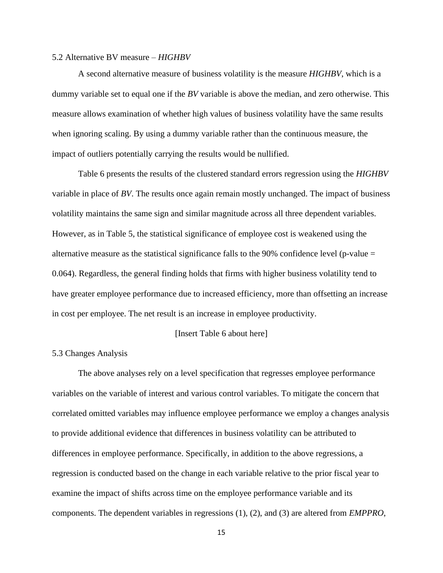#### 5.2 Alternative BV measure – *HIGHBV*

A second alternative measure of business volatility is the measure *HIGHBV*, which is a dummy variable set to equal one if the *BV* variable is above the median, and zero otherwise. This measure allows examination of whether high values of business volatility have the same results when ignoring scaling. By using a dummy variable rather than the continuous measure, the impact of outliers potentially carrying the results would be nullified.

Table 6 presents the results of the clustered standard errors regression using the *HIGHBV* variable in place of *BV*. The results once again remain mostly unchanged. The impact of business volatility maintains the same sign and similar magnitude across all three dependent variables. However, as in Table 5, the statistical significance of employee cost is weakened using the alternative measure as the statistical significance falls to the 90% confidence level (p-value  $=$ 0.064). Regardless, the general finding holds that firms with higher business volatility tend to have greater employee performance due to increased efficiency, more than offsetting an increase in cost per employee. The net result is an increase in employee productivity.

# [Insert Table 6 about here]

# 5.3 Changes Analysis

The above analyses rely on a level specification that regresses employee performance variables on the variable of interest and various control variables. To mitigate the concern that correlated omitted variables may influence employee performance we employ a changes analysis to provide additional evidence that differences in business volatility can be attributed to differences in employee performance. Specifically, in addition to the above regressions, a regression is conducted based on the change in each variable relative to the prior fiscal year to examine the impact of shifts across time on the employee performance variable and its components. The dependent variables in regressions (1), (2), and (3) are altered from *EMPPRO*,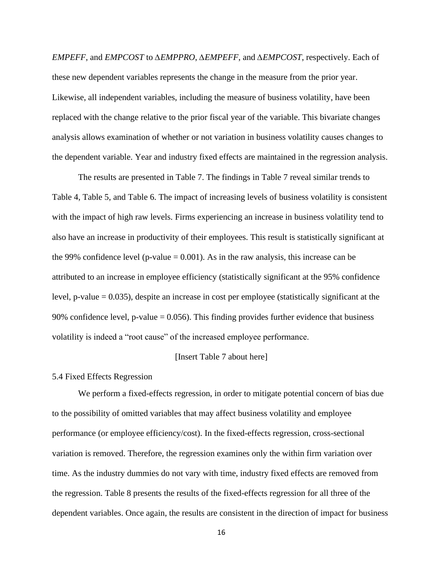*EMPEFF*, and *EMPCOST* to *∆EMPPRO*, *∆EMPEFF*, and *∆EMPCOST*, respectively. Each of these new dependent variables represents the change in the measure from the prior year. Likewise, all independent variables, including the measure of business volatility, have been replaced with the change relative to the prior fiscal year of the variable. This bivariate changes analysis allows examination of whether or not variation in business volatility causes changes to the dependent variable. Year and industry fixed effects are maintained in the regression analysis.

The results are presented in Table 7. The findings in Table 7 reveal similar trends to Table 4, Table 5, and Table 6. The impact of increasing levels of business volatility is consistent with the impact of high raw levels. Firms experiencing an increase in business volatility tend to also have an increase in productivity of their employees. This result is statistically significant at the 99% confidence level (p-value  $= 0.001$ ). As in the raw analysis, this increase can be attributed to an increase in employee efficiency (statistically significant at the 95% confidence level, p-value = 0.035), despite an increase in cost per employee (statistically significant at the 90% confidence level, p-value  $= 0.056$ . This finding provides further evidence that business volatility is indeed a "root cause" of the increased employee performance.

#### [Insert Table 7 about here]

## 5.4 Fixed Effects Regression

We perform a fixed-effects regression, in order to mitigate potential concern of bias due to the possibility of omitted variables that may affect business volatility and employee performance (or employee efficiency/cost). In the fixed-effects regression, cross-sectional variation is removed. Therefore, the regression examines only the within firm variation over time. As the industry dummies do not vary with time, industry fixed effects are removed from the regression. Table 8 presents the results of the fixed-effects regression for all three of the dependent variables. Once again, the results are consistent in the direction of impact for business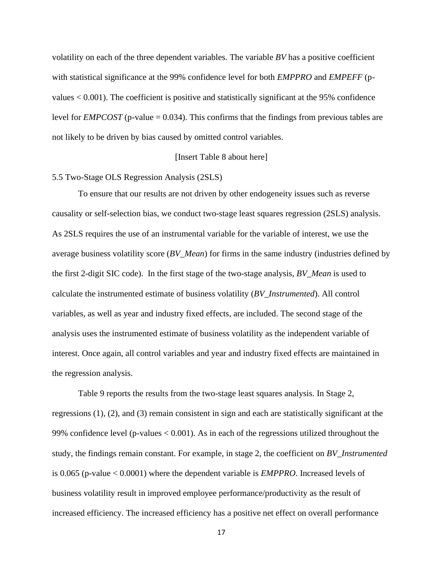volatility on each of the three dependent variables. The variable *BV* has a positive coefficient with statistical significance at the 99% confidence level for both *EMPPRO* and *EMPEFF* (pvalues < 0.001). The coefficient is positive and statistically significant at the 95% confidence level for *EMPCOST* (p-value = 0.034). This confirms that the findings from previous tables are not likely to be driven by bias caused by omitted control variables.

## [Insert Table 8 about here]

# 5.5 Two-Stage OLS Regression Analysis (2SLS)

To ensure that our results are not driven by other endogeneity issues such as reverse causality or self-selection bias, we conduct two-stage least squares regression (2SLS) analysis. As 2SLS requires the use of an instrumental variable for the variable of interest, we use the average business volatility score (*BV\_Mean*) for firms in the same industry (industries defined by the first 2-digit SIC code). In the first stage of the two-stage analysis, *BV\_Mean* is used to calculate the instrumented estimate of business volatility (*BV\_Instrumented*). All control variables, as well as year and industry fixed effects, are included. The second stage of the analysis uses the instrumented estimate of business volatility as the independent variable of interest. Once again, all control variables and year and industry fixed effects are maintained in the regression analysis.

Table 9 reports the results from the two-stage least squares analysis. In Stage 2, regressions (1), (2), and (3) remain consistent in sign and each are statistically significant at the 99% confidence level (p-values < 0.001). As in each of the regressions utilized throughout the study, the findings remain constant. For example, in stage 2, the coefficient on *BV\_Instrumented* is 0.065 (p-value < 0.0001) where the dependent variable is *EMPPRO*. Increased levels of business volatility result in improved employee performance/productivity as the result of increased efficiency. The increased efficiency has a positive net effect on overall performance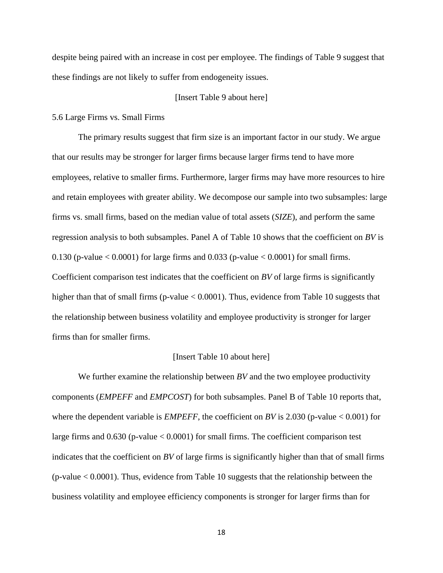despite being paired with an increase in cost per employee. The findings of Table 9 suggest that these findings are not likely to suffer from endogeneity issues.

#### [Insert Table 9 about here]

## 5.6 Large Firms vs. Small Firms

The primary results suggest that firm size is an important factor in our study. We argue that our results may be stronger for larger firms because larger firms tend to have more employees, relative to smaller firms. Furthermore, larger firms may have more resources to hire and retain employees with greater ability. We decompose our sample into two subsamples: large firms vs. small firms, based on the median value of total assets (*SIZE*), and perform the same regression analysis to both subsamples. Panel A of Table 10 shows that the coefficient on *BV* is 0.130 (p-value  $< 0.0001$ ) for large firms and 0.033 (p-value  $< 0.0001$ ) for small firms. Coefficient comparison test indicates that the coefficient on *BV* of large firms is significantly higher than that of small firms ( $p$ -value  $< 0.0001$ ). Thus, evidence from Table 10 suggests that the relationship between business volatility and employee productivity is stronger for larger firms than for smaller firms.

#### [Insert Table 10 about here]

We further examine the relationship between *BV* and the two employee productivity components (*EMPEFF* and *EMPCOST*) for both subsamples. Panel B of Table 10 reports that, where the dependent variable is *EMPEFF*, the coefficient on *BV* is 2.030 (p-value < 0.001) for large firms and 0.630 (p-value < 0.0001) for small firms. The coefficient comparison test indicates that the coefficient on *BV* of large firms is significantly higher than that of small firms (p-value < 0.0001). Thus, evidence from Table 10 suggests that the relationship between the business volatility and employee efficiency components is stronger for larger firms than for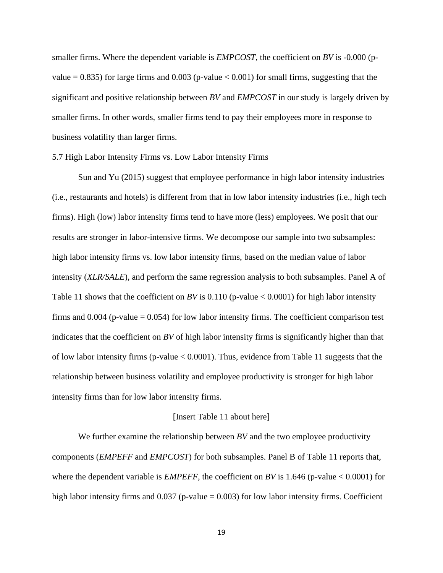smaller firms. Where the dependent variable is *EMPCOST*, the coefficient on *BV* is -0.000 (pvalue  $= 0.835$ ) for large firms and 0.003 (p-value  $< 0.001$ ) for small firms, suggesting that the significant and positive relationship between *BV* and *EMPCOST* in our study is largely driven by smaller firms. In other words, smaller firms tend to pay their employees more in response to business volatility than larger firms.

## 5.7 High Labor Intensity Firms vs. Low Labor Intensity Firms

Sun and Yu (2015) suggest that employee performance in high labor intensity industries (i.e., restaurants and hotels) is different from that in low labor intensity industries (i.e., high tech firms). High (low) labor intensity firms tend to have more (less) employees. We posit that our results are stronger in labor-intensive firms. We decompose our sample into two subsamples: high labor intensity firms vs. low labor intensity firms, based on the median value of labor intensity (*XLR/SALE*), and perform the same regression analysis to both subsamples. Panel A of Table 11 shows that the coefficient on *BV* is 0.110 (p-value  $< 0.0001$ ) for high labor intensity firms and  $0.004$  (p-value  $= 0.054$ ) for low labor intensity firms. The coefficient comparison test indicates that the coefficient on *BV* of high labor intensity firms is significantly higher than that of low labor intensity firms (p-value  $< 0.0001$ ). Thus, evidence from Table 11 suggests that the relationship between business volatility and employee productivity is stronger for high labor intensity firms than for low labor intensity firms.

#### [Insert Table 11 about here]

We further examine the relationship between *BV* and the two employee productivity components (*EMPEFF* and *EMPCOST*) for both subsamples. Panel B of Table 11 reports that, where the dependent variable is *EMPEFF*, the coefficient on *BV* is 1.646 (p-value < 0.0001) for high labor intensity firms and  $0.037$  (p-value = 0.003) for low labor intensity firms. Coefficient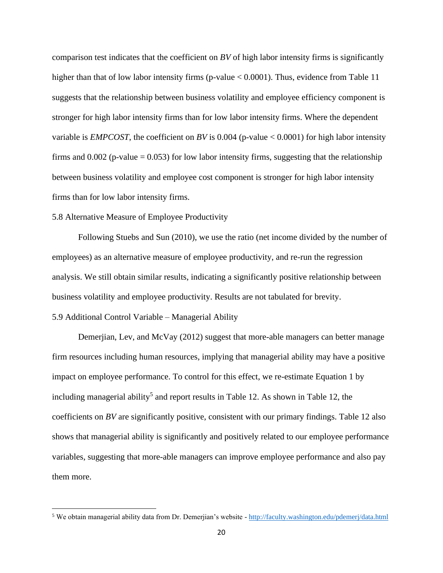comparison test indicates that the coefficient on *BV* of high labor intensity firms is significantly higher than that of low labor intensity firms (p-value < 0.0001). Thus, evidence from Table 11 suggests that the relationship between business volatility and employee efficiency component is stronger for high labor intensity firms than for low labor intensity firms. Where the dependent variable is *EMPCOST*, the coefficient on *BV* is 0.004 (p-value  $< 0.0001$ ) for high labor intensity firms and  $0.002$  (p-value = 0.053) for low labor intensity firms, suggesting that the relationship between business volatility and employee cost component is stronger for high labor intensity firms than for low labor intensity firms.

# 5.8 Alternative Measure of Employee Productivity

Following Stuebs and Sun (2010), we use the ratio (net income divided by the number of employees) as an alternative measure of employee productivity, and re-run the regression analysis. We still obtain similar results, indicating a significantly positive relationship between business volatility and employee productivity. Results are not tabulated for brevity. 5.9 Additional Control Variable – Managerial Ability

Demerjian, Lev, and McVay (2012) suggest that more-able managers can better manage firm resources including human resources, implying that managerial ability may have a positive impact on employee performance. To control for this effect, we re-estimate Equation 1 by including managerial ability<sup>5</sup> and report results in Table 12. As shown in Table 12, the coefficients on *BV* are significantly positive, consistent with our primary findings. Table 12 also shows that managerial ability is significantly and positively related to our employee performance variables, suggesting that more-able managers can improve employee performance and also pay them more.

<sup>&</sup>lt;sup>5</sup> We obtain managerial ability data from Dr. Demerjian's website - <http://faculty.washington.edu/pdemerj/data.html>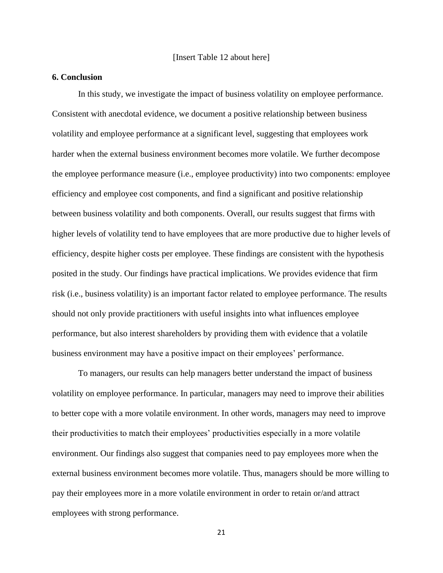# **6. Conclusion**

In this study, we investigate the impact of business volatility on employee performance. Consistent with anecdotal evidence, we document a positive relationship between business volatility and employee performance at a significant level, suggesting that employees work harder when the external business environment becomes more volatile. We further decompose the employee performance measure (i.e., employee productivity) into two components: employee efficiency and employee cost components, and find a significant and positive relationship between business volatility and both components. Overall, our results suggest that firms with higher levels of volatility tend to have employees that are more productive due to higher levels of efficiency, despite higher costs per employee. These findings are consistent with the hypothesis posited in the study. Our findings have practical implications. We provides evidence that firm risk (i.e., business volatility) is an important factor related to employee performance. The results should not only provide practitioners with useful insights into what influences employee performance, but also interest shareholders by providing them with evidence that a volatile business environment may have a positive impact on their employees' performance.

To managers, our results can help managers better understand the impact of business volatility on employee performance. In particular, managers may need to improve their abilities to better cope with a more volatile environment. In other words, managers may need to improve their productivities to match their employees' productivities especially in a more volatile environment. Our findings also suggest that companies need to pay employees more when the external business environment becomes more volatile. Thus, managers should be more willing to pay their employees more in a more volatile environment in order to retain or/and attract employees with strong performance.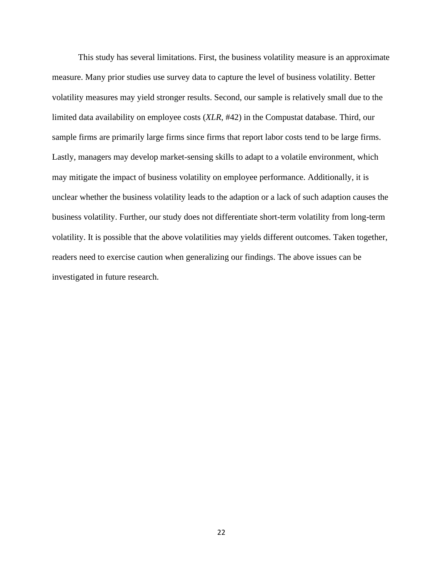This study has several limitations. First, the business volatility measure is an approximate measure. Many prior studies use survey data to capture the level of business volatility. Better volatility measures may yield stronger results. Second, our sample is relatively small due to the limited data availability on employee costs (*XLR*, #42) in the Compustat database. Third, our sample firms are primarily large firms since firms that report labor costs tend to be large firms. Lastly, managers may develop market-sensing skills to adapt to a volatile environment, which may mitigate the impact of business volatility on employee performance. Additionally, it is unclear whether the business volatility leads to the adaption or a lack of such adaption causes the business volatility. Further, our study does not differentiate short-term volatility from long-term volatility. It is possible that the above volatilities may yields different outcomes. Taken together, readers need to exercise caution when generalizing our findings. The above issues can be investigated in future research.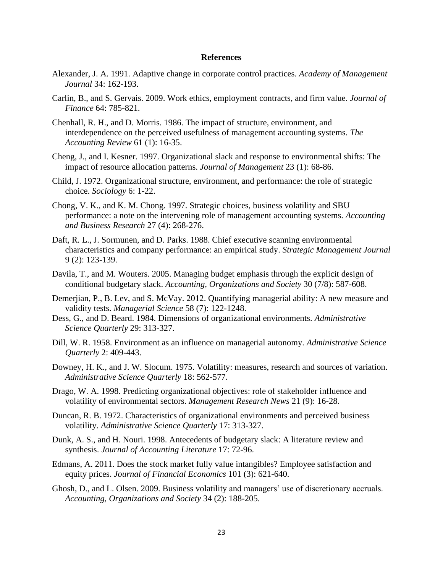#### **References**

- Alexander, J. A. 1991. Adaptive change in corporate control practices. *Academy of Management Journal* 34: 162-193.
- Carlin, B., and S. Gervais. 2009. Work ethics, employment contracts, and firm value. *Journal of Finance* 64: 785-821.
- Chenhall, R. H., and D. Morris. 1986. The impact of structure, environment, and interdependence on the perceived usefulness of management accounting systems. *The Accounting Review* 61 (1): 16-35.
- Cheng, J., and I. Kesner. 1997. Organizational slack and response to environmental shifts: The impact of resource allocation patterns. *Journal of Management* 23 (1): 68-86.
- Child, J. 1972. Organizational structure, environment, and performance: the role of strategic choice. *Sociology* 6: 1-22.
- Chong, V. K., and K. M. Chong. 1997. Strategic choices, business volatility and SBU performance: a note on the intervening role of management accounting systems. *Accounting and Business Research* 27 (4): 268-276.
- Daft, R. L., J. Sormunen, and D. Parks. 1988. Chief executive scanning environmental characteristics and company performance: an empirical study. *Strategic Management Journal* 9 (2): 123-139.
- Davila, T., and M. Wouters. 2005. Managing budget emphasis through the explicit design of conditional budgetary slack. *Accounting, Organizations and Society* 30 (7/8): 587-608.
- Demerjian, P., B. Lev, and S. McVay. 2012. Quantifying managerial ability: A new measure and validity tests. *Managerial Science* 58 (7): 122-1248.
- Dess, G., and D. Beard. 1984. Dimensions of organizational environments. *Administrative Science Quarterly* 29: 313-327.
- Dill, W. R. 1958. Environment as an influence on managerial autonomy. *Administrative Science Quarterly* 2: 409-443.
- Downey, H. K., and J. W. Slocum. 1975. Volatility: measures, research and sources of variation. *Administrative Science Quarterly* 18: 562-577.
- Drago, W. A. 1998. Predicting organizational objectives: role of stakeholder influence and volatility of environmental sectors. *Management Research News* 21 (9): 16-28.
- Duncan, R. B. 1972. Characteristics of organizational environments and perceived business volatility. *Administrative Science Quarterly* 17: 313-327.
- Dunk, A. S., and H. Nouri. 1998. Antecedents of budgetary slack: A literature review and synthesis. *Journal of Accounting Literature* 17: 72-96.
- Edmans, A. 2011. Does the stock market fully value intangibles? Employee satisfaction and equity prices. *Journal of Financial Economics* 101 (3): 621-640.
- Ghosh, D., and L. Olsen. 2009. Business volatility and managers' use of discretionary accruals. *Accounting, Organizations and Society* 34 (2): 188-205.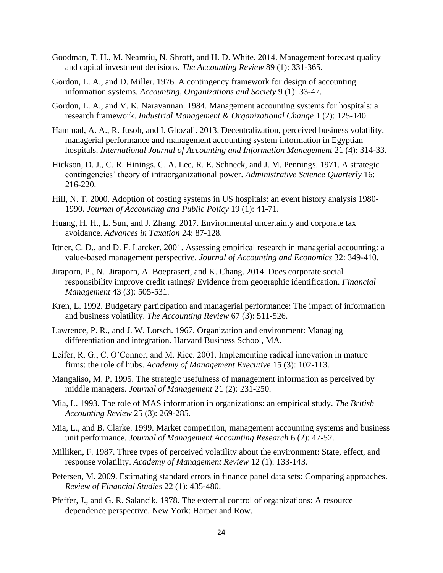- Goodman, T. H., M. Neamtiu, N. Shroff, and H. D. White. 2014. Management forecast quality and capital investment decisions. *The Accounting Review* 89 (1): 331-365.
- Gordon, L. A., and D. Miller. 1976. A contingency framework for design of accounting information systems. *Accounting, Organizations and Society* 9 (1): 33-47.
- Gordon, L. A., and V. K. Narayannan. 1984. Management accounting systems for hospitals: a research framework. *Industrial Management & Organizational Change* 1 (2): 125-140.
- Hammad, A. A., R. Jusoh, and I. Ghozali. 2013. Decentralization, perceived business volatility, managerial performance and management accounting system information in Egyptian hospitals. *International Journal of Accounting and Information Management* 21 (4): 314-33.
- Hickson, D. J., C. R. Hinings, C. A. Lee, R. E. Schneck, and J. M. Pennings. 1971. A strategic contingencies' theory of intraorganizational power. *Administrative Science Quarterly* 16: 216-220.
- Hill, N. T. 2000. Adoption of costing systems in US hospitals: an event history analysis 1980- 1990. *Journal of Accounting and Public Policy* 19 (1): 41-71.
- Huang, H. H., L. Sun, and J. Zhang. 2017. Environmental uncertainty and corporate tax avoidance. *Advances in Taxation* 24: 87-128.
- Ittner, C. D., and D. F. Larcker. 2001. Assessing empirical research in managerial accounting: a value-based management perspective. *Journal of Accounting and Economics* 32: 349-410.
- Jiraporn, P., N. Jiraporn, A. Boeprasert, and K. Chang. 2014. Does corporate social responsibility improve credit ratings? Evidence from geographic identification. *Financial Management* 43 (3): 505-531.
- Kren, L. 1992. Budgetary participation and managerial performance: The impact of information and business volatility. *The Accounting Review* 67 (3): 511-526.
- Lawrence, P. R., and J. W. Lorsch. 1967. Organization and environment: Managing differentiation and integration. Harvard Business School, MA.
- Leifer, R. G., C. O'Connor, and M. Rice. 2001. Implementing radical innovation in mature firms: the role of hubs. *Academy of Management Executive* 15 (3): 102-113.
- Mangaliso, M. P. 1995. The strategic usefulness of management information as perceived by middle managers. *Journal of Management* 21 (2): 231-250.
- Mia, L. 1993. The role of MAS information in organizations: an empirical study. *The British Accounting Review* 25 (3): 269-285.
- Mia, L., and B. Clarke. 1999. Market competition, management accounting systems and business unit performance. *Journal of Management Accounting Research* 6 (2): 47-52.
- Milliken, F. 1987. Three types of perceived volatility about the environment: State, effect, and response volatility. *Academy of Management Review* 12 (1): 133-143.
- Petersen, M. 2009. Estimating standard errors in finance panel data sets: Comparing approaches. *Review of Financial Studies* 22 (1): 435-480.
- Pfeffer, J., and G. R. Salancik. 1978. The external control of organizations: A resource dependence perspective. New York: Harper and Row.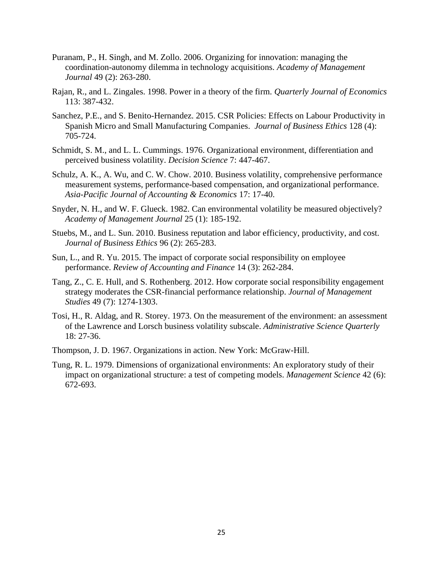- Puranam, P., H. Singh, and M. Zollo. 2006. Organizing for innovation: managing the coordination-autonomy dilemma in technology acquisitions. *Academy of Management Journal* 49 (2): 263-280.
- Rajan, R., and L. Zingales. 1998. Power in a theory of the firm. *Quarterly Journal of Economics* 113: 387-432.
- Sanchez, P.E., and S. Benito-Hernandez. 2015. CSR Policies: Effects on Labour Productivity in Spanish Micro and Small Manufacturing Companies. *Journal of Business Ethics* 128 (4): 705-724.
- Schmidt, S. M., and L. L. Cummings. 1976. Organizational environment, differentiation and perceived business volatility. *Decision Science* 7: 447-467.
- Schulz, A. K., A. Wu, and C. W. Chow. 2010. Business volatility, comprehensive performance measurement systems, performance-based compensation, and organizational performance. *Asia-Pacific Journal of Accounting & Economics* 17: 17-40.
- Snyder, N. H., and W. F. Glueck. 1982. Can environmental volatility be measured objectively? *Academy of Management Journal* 25 (1): 185-192.
- Stuebs, M., and L. Sun. 2010. Business reputation and labor efficiency, productivity, and cost. *Journal of Business Ethics* 96 (2): 265-283.
- Sun, L., and R. Yu. 2015. The impact of corporate social responsibility on employee performance. *Review of Accounting and Finance* 14 (3): 262-284.
- Tang, Z., C. E. Hull, and S. Rothenberg. 2012. How corporate social responsibility engagement strategy moderates the CSR-financial performance relationship. *Journal of Management Studies* 49 (7): 1274-1303.
- Tosi, H., R. Aldag, and R. Storey. 1973. On the measurement of the environment: an assessment of the Lawrence and Lorsch business volatility subscale. *Administrative Science Quarterly* 18: 27-36.
- Thompson, J. D. 1967. Organizations in action. New York: McGraw-Hill.
- Tung, R. L. 1979. Dimensions of organizational environments: An exploratory study of their impact on organizational structure: a test of competing models. *Management Science* 42 (6): 672-693.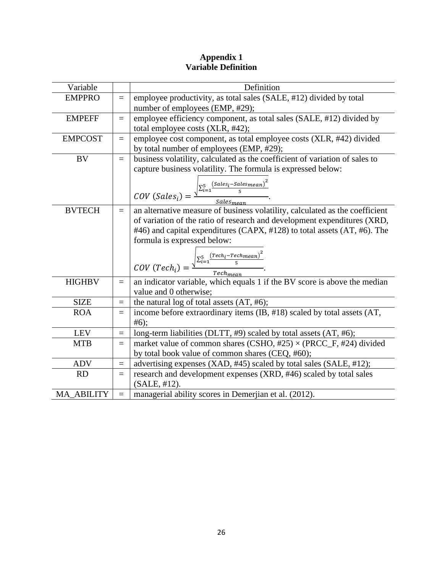# **Appendix 1 Variable Definition**

| Variable          |                   | Definition                                                                                                                                  |
|-------------------|-------------------|---------------------------------------------------------------------------------------------------------------------------------------------|
| <b>EMPPRO</b>     | $=$               | employee productivity, as total sales (SALE, #12) divided by total<br>number of employees (EMP, #29);                                       |
| <b>EMPEFF</b>     | $=$               | employee efficiency component, as total sales (SALE, #12) divided by<br>total employee costs (XLR, #42);                                    |
| <b>EMPCOST</b>    | $=$               | employee cost component, as total employee costs (XLR, #42) divided<br>by total number of employees (EMP, #29);                             |
| <b>BV</b>         | $=$               | business volatility, calculated as the coefficient of variation of sales to<br>capture business volatility. The formula is expressed below: |
|                   |                   | $COV (Salesi) = \frac{\sqrt{\sum_{i=1}^{5} (Salesi - Salesmean)^{2}}}{Salesmean}.$                                                          |
| <b>BVTECH</b>     | $=$               | an alternative measure of business volatility, calculated as the coefficient                                                                |
|                   |                   | of variation of the ratio of research and development expenditures (XRD,                                                                    |
|                   |                   | #46) and capital expenditures (CAPX, #128) to total assets (AT, #6). The<br>formula is expressed below:                                     |
|                   |                   | COV $(Tech_i) = \frac{\sqrt{\sum_{i=1}^{5} \frac{(Tech_i - Techmean)^2}{5}}}{Techmean}$ .                                                   |
| <b>HIGHBV</b>     | $=$               | an indicator variable, which equals 1 if the BV score is above the median                                                                   |
|                   |                   | value and 0 otherwise;                                                                                                                      |
| <b>SIZE</b>       | $=$               | the natural log of total assets $(AT, #6)$ ;                                                                                                |
| <b>ROA</b>        | $=$               | income before extraordinary items (IB, #18) scaled by total assets (AT,<br>#6);                                                             |
| <b>LEV</b>        | $=$               | long-term liabilities (DLTT, #9) scaled by total assets (AT, #6);                                                                           |
| <b>MTB</b>        | $\qquad \qquad =$ | market value of common shares (CSHO, $\#25$ ) $\times$ (PRCC_F, $\#24$ ) divided                                                            |
|                   |                   | by total book value of common shares (CEQ, #60);                                                                                            |
| <b>ADV</b>        | $=$               | advertising expenses (XAD, #45) scaled by total sales (SALE, #12);                                                                          |
| <b>RD</b>         | $=$               | research and development expenses (XRD, #46) scaled by total sales<br>(SALE, #12).                                                          |
| <b>MA ABILITY</b> | $=$               | managerial ability scores in Demerjian et al. (2012).                                                                                       |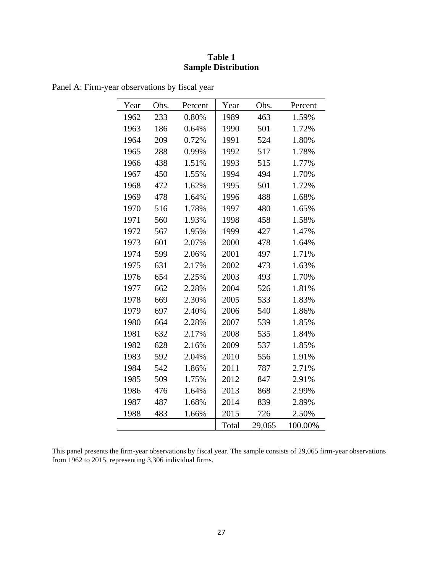# **Table 1 Sample Distribution**

| Year | Obs. | Percent | Year  | Obs.   | Percent |
|------|------|---------|-------|--------|---------|
| 1962 | 233  | 0.80%   | 1989  | 463    | 1.59%   |
| 1963 | 186  | 0.64%   | 1990  | 501    | 1.72%   |
| 1964 | 209  | 0.72%   | 1991  | 524    | 1.80%   |
| 1965 | 288  | 0.99%   | 1992  | 517    | 1.78%   |
| 1966 | 438  | 1.51%   | 1993  | 515    | 1.77%   |
| 1967 | 450  | 1.55%   | 1994  | 494    | 1.70%   |
| 1968 | 472  | 1.62%   | 1995  | 501    | 1.72%   |
| 1969 | 478  | 1.64%   | 1996  | 488    | 1.68%   |
| 1970 | 516  | 1.78%   | 1997  | 480    | 1.65%   |
| 1971 | 560  | 1.93%   | 1998  | 458    | 1.58%   |
| 1972 | 567  | 1.95%   | 1999  | 427    | 1.47%   |
| 1973 | 601  | 2.07%   | 2000  | 478    | 1.64%   |
| 1974 | 599  | 2.06%   | 2001  | 497    | 1.71%   |
| 1975 | 631  | 2.17%   | 2002  | 473    | 1.63%   |
| 1976 | 654  | 2.25%   | 2003  | 493    | 1.70%   |
| 1977 | 662  | 2.28%   | 2004  | 526    | 1.81%   |
| 1978 | 669  | 2.30%   | 2005  | 533    | 1.83%   |
| 1979 | 697  | 2.40%   | 2006  | 540    | 1.86%   |
| 1980 | 664  | 2.28%   | 2007  | 539    | 1.85%   |
| 1981 | 632  | 2.17%   | 2008  | 535    | 1.84%   |
| 1982 | 628  | 2.16%   | 2009  | 537    | 1.85%   |
| 1983 | 592  | 2.04%   | 2010  | 556    | 1.91%   |
| 1984 | 542  | 1.86%   | 2011  | 787    | 2.71%   |
| 1985 | 509  | 1.75%   | 2012  | 847    | 2.91%   |
| 1986 | 476  | 1.64%   | 2013  | 868    | 2.99%   |
| 1987 | 487  | 1.68%   | 2014  | 839    | 2.89%   |
| 1988 | 483  | 1.66%   | 2015  | 726    | 2.50%   |
|      |      |         | Total | 29,065 | 100.00% |

Panel A: Firm-year observations by fiscal year

This panel presents the firm-year observations by fiscal year. The sample consists of 29,065 firm-year observations from 1962 to 2015, representing 3,306 individual firms.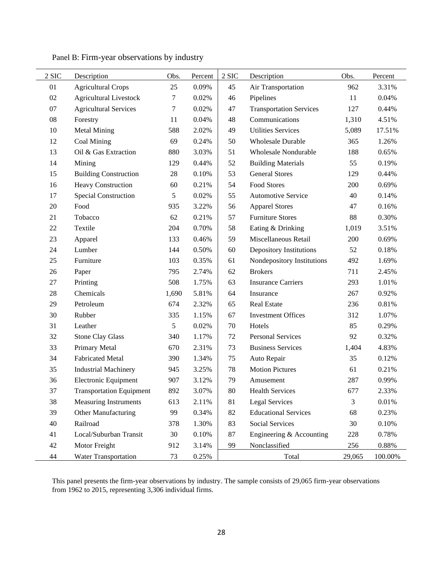| 2 SIC  | Description                     | Obs.   | Percent | 2 SIC | Description                    | Obs.   | Percent |
|--------|---------------------------------|--------|---------|-------|--------------------------------|--------|---------|
| 01     | <b>Agricultural Crops</b>       | 25     | 0.09%   | 45    | Air Transportation             | 962    | 3.31%   |
| 02     | <b>Agricultural Livestock</b>   | 7      | 0.02%   | 46    | Pipelines                      | 11     | 0.04%   |
| $07\,$ | <b>Agricultural Services</b>    | 7      | 0.02%   | 47    | <b>Transportation Services</b> | 127    | 0.44%   |
| $08\,$ | Forestry                        | 11     | 0.04%   | 48    | Communications                 | 1,310  | 4.51%   |
| 10     | <b>Metal Mining</b>             | 588    | 2.02%   | 49    | <b>Utilities Services</b>      | 5,089  | 17.51%  |
| 12     | Coal Mining                     | 69     | 0.24%   | 50    | <b>Wholesale Durable</b>       | 365    | 1.26%   |
| 13     | Oil & Gas Extraction            | 880    | 3.03%   | 51    | Wholesale Nondurable           | 188    | 0.65%   |
| 14     | Mining                          | 129    | 0.44%   | 52    | <b>Building Materials</b>      | 55     | 0.19%   |
| 15     | <b>Building Construction</b>    | $28\,$ | 0.10%   | 53    | <b>General Stores</b>          | 129    | 0.44%   |
| 16     | <b>Heavy Construction</b>       | 60     | 0.21%   | 54    | Food Stores                    | 200    | 0.69%   |
| 17     | Special Construction            | 5      | 0.02%   | 55    | <b>Automotive Service</b>      | 40     | 0.14%   |
| 20     | Food                            | 935    | 3.22%   | 56    | <b>Apparel Stores</b>          | 47     | 0.16%   |
| 21     | Tobacco                         | 62     | 0.21%   | 57    | <b>Furniture Stores</b>        | 88     | 0.30%   |
| 22     | Textile                         | 204    | 0.70%   | 58    | Eating & Drinking              | 1,019  | 3.51%   |
| 23     | Apparel                         | 133    | 0.46%   | 59    | Miscellaneous Retail           | 200    | 0.69%   |
| 24     | Lumber                          | 144    | 0.50%   | 60    | Depository Institutions        | 52     | 0.18%   |
| 25     | Furniture                       | 103    | 0.35%   | 61    | Nondepository Institutions     | 492    | 1.69%   |
| 26     | Paper                           | 795    | 2.74%   | 62    | <b>Brokers</b>                 | 711    | 2.45%   |
| 27     | Printing                        | 508    | 1.75%   | 63    | <b>Insurance Carriers</b>      | 293    | 1.01%   |
| 28     | Chemicals                       | 1,690  | 5.81%   | 64    | Insurance                      | 267    | 0.92%   |
| 29     | Petroleum                       | 674    | 2.32%   | 65    | Real Estate                    | 236    | 0.81%   |
| 30     | Rubber                          | 335    | 1.15%   | 67    | <b>Investment Offices</b>      | 312    | 1.07%   |
| 31     | Leather                         | 5      | 0.02%   | 70    | Hotels                         | 85     | 0.29%   |
| 32     | <b>Stone Clay Glass</b>         | 340    | 1.17%   | 72    | Personal Services              | 92     | 0.32%   |
| 33     | Primary Metal                   | 670    | 2.31%   | 73    | <b>Business Services</b>       | 1,404  | 4.83%   |
| 34     | <b>Fabricated Metal</b>         | 390    | 1.34%   | 75    | Auto Repair                    | 35     | 0.12%   |
| 35     | <b>Industrial Machinery</b>     | 945    | 3.25%   | 78    | <b>Motion Pictures</b>         | 61     | 0.21%   |
| 36     | <b>Electronic Equipment</b>     | 907    | 3.12%   | 79    | Amusement                      | 287    | 0.99%   |
| 37     | <b>Transportation Equipment</b> | 892    | 3.07%   | 80    | <b>Health Services</b>         | 677    | 2.33%   |
| 38     | Measuring Instruments           | 613    | 2.11%   | 81    | <b>Legal Services</b>          | 3      | 0.01%   |
| 39     | Other Manufacturing             | 99     | 0.34%   | 82    | <b>Educational Services</b>    | 68     | 0.23%   |
| 40     | Railroad                        | 378    | 1.30%   | 83    | Social Services                | 30     | 0.10%   |
| 41     | Local/Suburban Transit          | 30     | 0.10%   | 87    | Engineering & Accounting       | 228    | 0.78%   |
| 42     | Motor Freight                   | 912    | 3.14%   | 99    | Nonclassified                  | 256    | 0.88%   |
| 44     | <b>Water Transportation</b>     | 73     | 0.25%   |       | Total                          | 29,065 | 100.00% |

Panel B: Firm-year observations by industry

This panel presents the firm-year observations by industry. The sample consists of 29,065 firm-year observations from 1962 to 2015, representing 3,306 individual firms.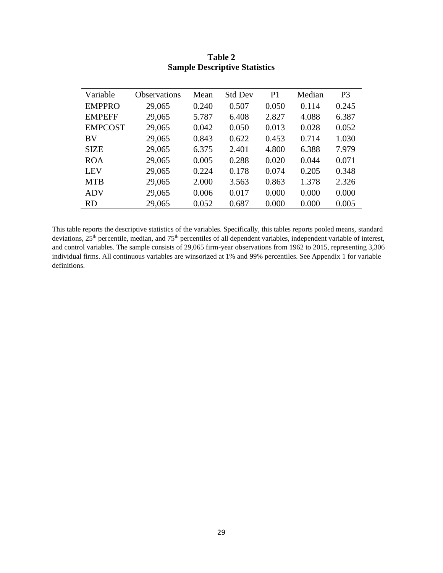| Variable       | Observations | Mean  | <b>Std Dev</b> | P <sub>1</sub> | Median | P <sub>3</sub> |
|----------------|--------------|-------|----------------|----------------|--------|----------------|
| <b>EMPPRO</b>  | 29,065       | 0.240 | 0.507          | 0.050          | 0.114  | 0.245          |
| <b>EMPEFF</b>  | 29,065       | 5.787 | 6.408          | 2.827          | 4.088  | 6.387          |
| <b>EMPCOST</b> | 29,065       | 0.042 | 0.050          | 0.013          | 0.028  | 0.052          |
| <b>BV</b>      | 29,065       | 0.843 | 0.622          | 0.453          | 0.714  | 1.030          |
| <b>SIZE</b>    | 29,065       | 6.375 | 2.401          | 4.800          | 6.388  | 7.979          |
| <b>ROA</b>     | 29,065       | 0.005 | 0.288          | 0.020          | 0.044  | 0.071          |
| <b>LEV</b>     | 29,065       | 0.224 | 0.178          | 0.074          | 0.205  | 0.348          |
| <b>MTB</b>     | 29,065       | 2.000 | 3.563          | 0.863          | 1.378  | 2.326          |
| <b>ADV</b>     | 29,065       | 0.006 | 0.017          | 0.000          | 0.000  | 0.000          |
| <b>RD</b>      | 29,065       | 0.052 | 0.687          | 0.000          | 0.000  | 0.005          |

# **Table 2 Sample Descriptive Statistics**

This table reports the descriptive statistics of the variables. Specifically, this tables reports pooled means, standard deviations, 25<sup>th</sup> percentile, median, and 75<sup>th</sup> percentiles of all dependent variables, independent variable of interest, and control variables. The sample consists of 29,065 firm-year observations from 1962 to 2015, representing 3,306 individual firms. All continuous variables are winsorized at 1% and 99% percentiles. See Appendix 1 for variable definitions.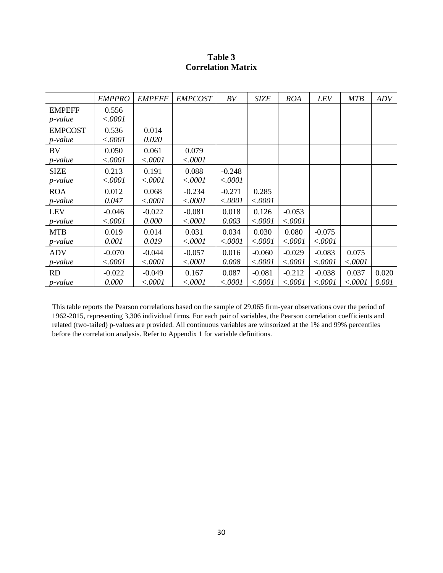| Table 3                   |  |
|---------------------------|--|
| <b>Correlation Matrix</b> |  |

|                 | <b>EMPPRO</b> | <b>EMPEFF</b> | <b>EMPCOST</b> | BV       | <b>SIZE</b> | <b>ROA</b> | LEV      | <b>MTB</b> | ADV   |
|-----------------|---------------|---------------|----------------|----------|-------------|------------|----------|------------|-------|
| <b>EMPEFF</b>   | 0.556         |               |                |          |             |            |          |            |       |
| p-value         | < .0001       |               |                |          |             |            |          |            |       |
| <b>EMPCOST</b>  | 0.536         | 0.014         |                |          |             |            |          |            |       |
| <i>p</i> -value | < .0001       | 0.020         |                |          |             |            |          |            |       |
| BV              | 0.050         | 0.061         | 0.079          |          |             |            |          |            |       |
| p-value         | < .0001       | < .0001       | < .0001        |          |             |            |          |            |       |
| <b>SIZE</b>     | 0.213         | 0.191         | 0.088          | $-0.248$ |             |            |          |            |       |
| p-value         | < .0001       | < .0001       | < .0001        | < .0001  |             |            |          |            |       |
| <b>ROA</b>      | 0.012         | 0.068         | $-0.234$       | $-0.271$ | 0.285       |            |          |            |       |
| $p$ -value      | 0.047         | < .0001       | < .0001        | < .0001  | < .0001     |            |          |            |       |
| <b>LEV</b>      | $-0.046$      | $-0.022$      | $-0.081$       | 0.018    | 0.126       | $-0.053$   |          |            |       |
| p-value         | < .0001       | 0.000         | < .0001        | 0.003    | < .0001     | < .0001    |          |            |       |
| <b>MTB</b>      | 0.019         | 0.014         | 0.031          | 0.034    | 0.030       | 0.080      | $-0.075$ |            |       |
| p-value         | 0.001         | 0.019         | < .0001        | < .0001  | < .0001     | < .0001    | < .0001  |            |       |
| <b>ADV</b>      | $-0.070$      | $-0.044$      | $-0.057$       | 0.016    | $-0.060$    | $-0.029$   | $-0.083$ | 0.075      |       |
| p-value         | < .0001       | < .0001       | < .0001        | 0.008    | < .0001     | < .0001    | < .0001  | < .0001    |       |
| RD              | $-0.022$      | $-0.049$      | 0.167          | 0.087    | $-0.081$    | $-0.212$   | $-0.038$ | 0.037      | 0.020 |
| p-value         | 0.000         | < .0001       | < .0001        | < .0001  | < .0001     | < .0001    | < .0001  | < .0001    | 0.001 |

This table reports the Pearson correlations based on the sample of 29,065 firm-year observations over the period of 1962-2015, representing 3,306 individual firms. For each pair of variables, the Pearson correlation coefficients and related (two-tailed) p-values are provided. All continuous variables are winsorized at the 1% and 99% percentiles before the correlation analysis. Refer to Appendix 1 for variable definitions.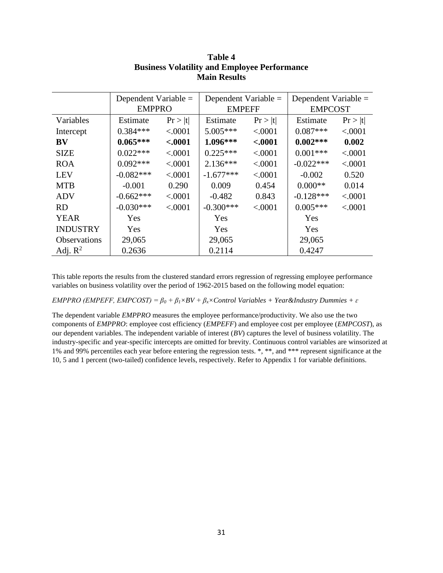|                     | Dependent Variable $=$ |          |               | Dependent Variable $=$ |                | Dependent Variable $=$ |  |
|---------------------|------------------------|----------|---------------|------------------------|----------------|------------------------|--|
|                     | <b>EMPPRO</b>          |          | <b>EMPEFF</b> |                        | <b>EMPCOST</b> |                        |  |
| Variables           | Estimate               | Pr >  t  | Estimate      | Pr >  t                | Estimate       | Pr >  t                |  |
| Intercept           | $0.384***$             | < 0.001  | $5.005***$    | < .0001                | $0.087***$     | < .0001                |  |
| <b>BV</b>           | $0.065***$             | $-.0001$ | $1.096***$    | < .0001                | $0.002***$     | 0.002                  |  |
| <b>SIZE</b>         | $0.022***$             | < .0001  | $0.225***$    | < .0001                | $0.001***$     | < .0001                |  |
| <b>ROA</b>          | $0.092***$             | < .0001  | $2.136***$    | < .0001                | $-0.022***$    | < .0001                |  |
| <b>LEV</b>          | $-0.082***$            | < .0001  | $-1.677***$   | < .0001                | $-0.002$       | 0.520                  |  |
| <b>MTB</b>          | $-0.001$               | 0.290    | 0.009         | 0.454                  | $0.000**$      | 0.014                  |  |
| ADV                 | $-0.662***$            | < 0.001  | $-0.482$      | 0.843                  | $-0.128***$    | < .0001                |  |
| <b>RD</b>           | $-0.030***$            | < .0001  | $-0.300***$   | < .0001                | $0.005***$     | < .0001                |  |
| <b>YEAR</b>         | <b>Yes</b>             |          | Yes           |                        | Yes            |                        |  |
| <b>INDUSTRY</b>     | Yes                    |          | Yes           |                        | Yes            |                        |  |
| <b>Observations</b> | 29,065                 |          | 29,065        |                        | 29,065         |                        |  |
| Adj. $R^2$          | 0.2636                 |          | 0.2114        |                        | 0.4247         |                        |  |

# **Table 4 Business Volatility and Employee Performance Main Results**

This table reports the results from the clustered standard errors regression of regressing employee performance variables on business volatility over the period of 1962-2015 based on the following model equation:

*EMPPRO (EMPEFF, EMPCOST)* =  $\beta_0 + \beta_1 \times BV + \beta_2 \times Control$  *Variables* + *Year&Industry Dummies* +  $\varepsilon$ 

The dependent variable *EMPPRO* measures the employee performance/productivity. We also use the two components of *EMPPRO*: employee cost efficiency (*EMPEFF*) and employee cost per employee (*EMPCOST*), as our dependent variables. The independent variable of interest (*BV*) captures the level of business volatility. The industry-specific and year-specific intercepts are omitted for brevity. Continuous control variables are winsorized at 1% and 99% percentiles each year before entering the regression tests. \*, \*\*, and \*\*\* represent significance at the 10, 5 and 1 percent (two-tailed) confidence levels, respectively. Refer to Appendix 1 for variable definitions.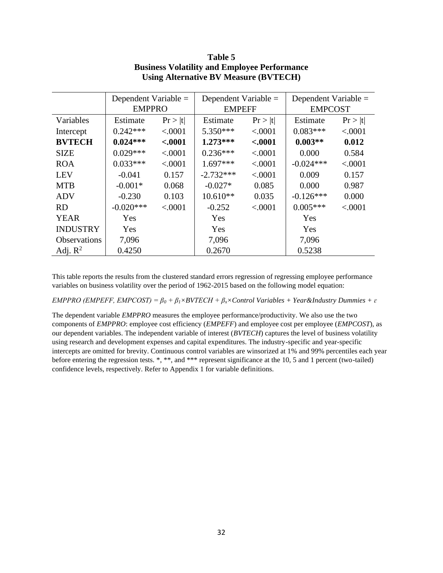|                     | Dependent Variable $=$ |          | Dependent Variable $=$ |          | Dependent Variable $=$ |         |  |
|---------------------|------------------------|----------|------------------------|----------|------------------------|---------|--|
|                     | <b>EMPPRO</b>          |          | <b>EMPEFF</b>          |          | <b>EMPCOST</b>         |         |  |
| Variables           | Estimate               | Pr >  t  | Estimate               | Pr >  t  | Estimate               | Pr >  t |  |
| Intercept           | $0.242***$             | < .0001  | $5.350***$             | < .0001  | $0.083***$             | < .0001 |  |
| <b>BVTECH</b>       | $0.024***$             | $-.0001$ | $1.273***$             | $-.0001$ | $0.003**$              | 0.012   |  |
| <b>SIZE</b>         | $0.029***$             | < .0001  | $0.236***$             | < .0001  | 0.000                  | 0.584   |  |
| <b>ROA</b>          | $0.033***$             | < .0001  | $1.697***$             | < .0001  | $-0.024***$            | < .0001 |  |
| <b>LEV</b>          | $-0.041$               | 0.157    | $-2.732***$            | < .0001  | 0.009                  | 0.157   |  |
| <b>MTB</b>          | $-0.001*$              | 0.068    | $-0.027*$              | 0.085    | 0.000                  | 0.987   |  |
| ADV                 | $-0.230$               | 0.103    | $10.610**$             | 0.035    | $-0.126***$            | 0.000   |  |
| <b>RD</b>           | $-0.020***$            | < .0001  | $-0.252$               | < .0001  | $0.005***$             | < .0001 |  |
| <b>YEAR</b>         | Yes                    |          | <b>Yes</b>             |          | Yes                    |         |  |
| <b>INDUSTRY</b>     | Yes                    |          | Yes                    |          | Yes                    |         |  |
| <b>Observations</b> | 7,096                  |          | 7,096                  |          | 7,096                  |         |  |
| Adj. $R^2$          | 0.4250                 |          | 0.2670                 |          | 0.5238                 |         |  |

# **Table 5 Business Volatility and Employee Performance Using Alternative BV Measure (BVTECH)**

This table reports the results from the clustered standard errors regression of regressing employee performance variables on business volatility over the period of 1962-2015 based on the following model equation:

*EMPPRO (EMPEFF, EMPCOST) = β<sup>0</sup> + β1×BVTECH + βx×Control Variables + Year&Industry Dummies + ɛ*

The dependent variable *EMPPRO* measures the employee performance/productivity. We also use the two components of *EMPPRO*: employee cost efficiency (*EMPEFF*) and employee cost per employee (*EMPCOST*), as our dependent variables. The independent variable of interest (*BVTECH*) captures the level of business volatility using research and development expenses and capital expenditures. The industry-specific and year-specific intercepts are omitted for brevity. Continuous control variables are winsorized at 1% and 99% percentiles each year before entering the regression tests. \*, \*\*, and \*\*\* represent significance at the 10, 5 and 1 percent (two-tailed) confidence levels, respectively. Refer to Appendix 1 for variable definitions.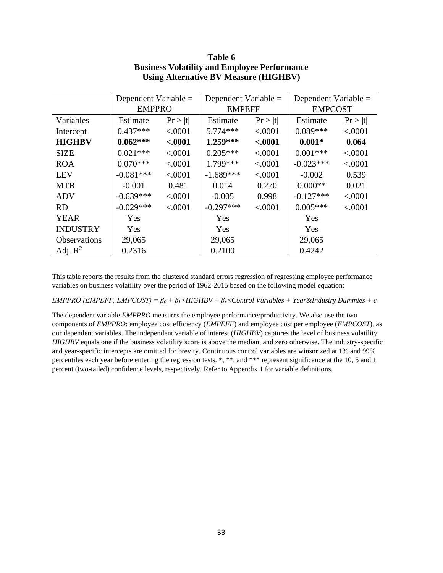|                     | Dependent Variable $=$<br><b>EMPPRO</b> |          | Dependent Variable $=$<br><b>EMPEFF</b> |          | Dependent Variable =<br><b>EMPCOST</b> |         |  |
|---------------------|-----------------------------------------|----------|-----------------------------------------|----------|----------------------------------------|---------|--|
|                     |                                         |          |                                         |          |                                        |         |  |
| Variables           | Estimate                                | Pr >  t  | Estimate                                | Pr >  t  | Estimate                               | Pr >  t |  |
| Intercept           | $0.437***$                              | < .0001  | $5.774***$                              | < .0001  | $0.089***$                             | < .0001 |  |
| <b>HIGHBV</b>       | $0.062***$                              | $-.0001$ | $1.259***$                              | $-.0001$ | $0.001*$                               | 0.064   |  |
| <b>SIZE</b>         | $0.021***$                              | < .0001  | $0.205***$                              | < 0.001  | $0.001***$                             | < .0001 |  |
| <b>ROA</b>          | $0.070***$                              | < 0.001  | 1.799***                                | < .0001  | $-0.023***$                            | < .0001 |  |
| <b>LEV</b>          | $-0.081***$                             | < .0001  | $-1.689***$                             | < 0.001  | $-0.002$                               | 0.539   |  |
| <b>MTB</b>          | $-0.001$                                | 0.481    | 0.014                                   | 0.270    | $0.000**$                              | 0.021   |  |
| ADV                 | $-0.639***$                             | < 0.001  | $-0.005$                                | 0.998    | $-0.127***$                            | < .0001 |  |
| <b>RD</b>           | $-0.029***$                             | < .0001  | $-0.297***$                             | < .0001  | $0.005***$                             | < .0001 |  |
| <b>YEAR</b>         | Yes                                     |          | Yes                                     |          | Yes                                    |         |  |
| <b>INDUSTRY</b>     | Yes                                     |          | Yes                                     |          | Yes                                    |         |  |
| <b>Observations</b> | 29,065                                  |          | 29,065                                  |          | 29,065                                 |         |  |
| Adj. $R^2$          | 0.2316                                  |          | 0.2100                                  |          | 0.4242                                 |         |  |

# **Table 6 Business Volatility and Employee Performance Using Alternative BV Measure (HIGHBV)**

This table reports the results from the clustered standard errors regression of regressing employee performance variables on business volatility over the period of 1962-2015 based on the following model equation:

*EMPPRO (EMPEFF, EMPCOST) = β<sup>0</sup> + β1×HIGHBV + βx×Control Variables + Year&Industry Dummies + ɛ*

The dependent variable *EMPPRO* measures the employee performance/productivity. We also use the two components of *EMPPRO*: employee cost efficiency (*EMPEFF*) and employee cost per employee (*EMPCOST*), as our dependent variables. The independent variable of interest (*HIGHBV*) captures the level of business volatility. *HIGHBV* equals one if the business volatility score is above the median, and zero otherwise. The industry-specific and year-specific intercepts are omitted for brevity. Continuous control variables are winsorized at 1% and 99% percentiles each year before entering the regression tests. \*, \*\*, and \*\*\* represent significance at the 10, 5 and 1 percent (two-tailed) confidence levels, respectively. Refer to Appendix 1 for variable definitions.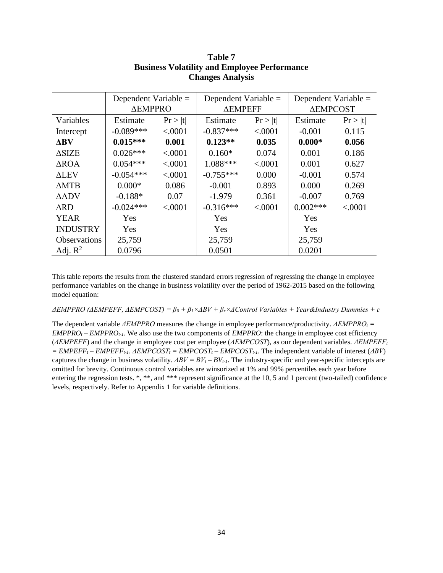|                     | Dependent Variable $=$<br><b><i>ΔEMPPRO</i></b> |         | Dependent Variable $=$<br><b>AEMPEFF</b> |         | Dependent Variable $=$<br><b>ΔEMPCOST</b> |         |  |
|---------------------|-------------------------------------------------|---------|------------------------------------------|---------|-------------------------------------------|---------|--|
| Variables           | Estimate                                        | Pr >  t | Estimate                                 | Pr >  t | Estimate                                  | Pr >  t |  |
| Intercept           | $-0.089***$                                     | < .0001 | $-0.837***$                              | < .0001 | $-0.001$                                  | 0.115   |  |
| $\Delta$ BV         | $0.015***$                                      | 0.001   | $0.123**$                                | 0.035   | $0.000*$                                  | 0.056   |  |
| $\triangle$ SIZE    | $0.026***$                                      | < .0001 | $0.160*$                                 | 0.074   | 0.001                                     | 0.186   |  |
| ∆ROA                | $0.054***$                                      | < .0001 | 1.088***                                 | < .0001 | 0.001                                     | 0.627   |  |
| <b>ALEV</b>         | $-0.054***$                                     | < .0001 | $-0.755***$                              | 0.000   | $-0.001$                                  | 0.574   |  |
| $\triangle MTB$     | $0.000*$                                        | 0.086   | $-0.001$                                 | 0.893   | 0.000                                     | 0.269   |  |
| $\triangle$ ADV     | $-0.188*$                                       | 0.07    | $-1.979$                                 | 0.361   | $-0.007$                                  | 0.769   |  |
| $\Delta \text{RD}$  | $-0.024***$                                     | < .0001 | $-0.316***$                              | < .0001 | $0.002***$                                | < .0001 |  |
| <b>YEAR</b>         | Yes                                             |         | Yes                                      |         | Yes                                       |         |  |
| <b>INDUSTRY</b>     | Yes                                             |         | Yes                                      |         | Yes                                       |         |  |
| <b>Observations</b> | 25,759                                          |         | 25,759                                   |         | 25,759                                    |         |  |
| Adj. $R^2$          | 0.0796                                          |         | 0.0501                                   |         | 0.0201                                    |         |  |

# **Table 7 Business Volatility and Employee Performance Changes Analysis**

This table reports the results from the clustered standard errors regression of regressing the change in employee performance variables on the change in business volatility over the period of 1962-2015 based on the following model equation:

*ΔEMPPRO (ΔEMPEFF, ΔEMPCOST) = β<sup>0</sup> + β1×ΔBV + βx×ΔControl Variables + Year&Industry Dummies + ɛ*

The dependent variable *ΔEMPPRO* measures the change in employee performance/productivity. *ΔEMPPRO<sup>t</sup> =*   $EMPPRO<sub>t</sub> - EMPPRO<sub>t-1</sub>$ . We also use the two components of  $EMPPRO$ : the change in employee cost efficiency (*ΔEMPEFF*) and the change in employee cost per employee (*ΔEMPCOST*), as our dependent variables. *ΔEMPEFF<sup>t</sup>*  $=$  *EMPEFF<sub>t</sub>*  $-$  *EMPEFF<sub>t-1</sub>*. *ΔEMPCOST<sub>t</sub>*  $=$  *EMPCOST<sub>t</sub></sub>* $-$  *EMPCOST<sub>t-1</sub>*. The independent variable of interest (*ΔBV*) captures the change in business volatility.  $\Delta BV = BV_t - BV_{t-1}$ . The industry-specific and year-specific intercepts are omitted for brevity. Continuous control variables are winsorized at 1% and 99% percentiles each year before entering the regression tests. \*, \*\*, and \*\*\* represent significance at the 10, 5 and 1 percent (two-tailed) confidence levels, respectively. Refer to Appendix 1 for variable definitions.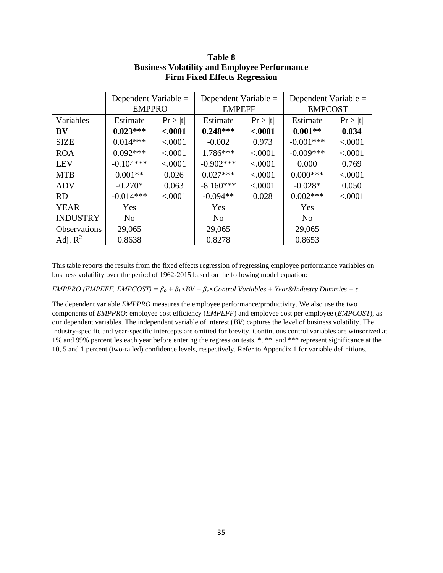|                     | Dependent Variable $=$ |          | Dependent Variable = |          | Dependent Variable = |         |  |
|---------------------|------------------------|----------|----------------------|----------|----------------------|---------|--|
|                     | <b>EMPPRO</b>          |          | <b>EMPEFF</b>        |          | <b>EMPCOST</b>       |         |  |
| Variables           | Estimate               | Pr >  t  | Estimate             | Pr >  t  | Estimate             | Pr >  t |  |
| <b>BV</b>           | $0.023***$             | $-.0001$ | $0.248***$           | $-.0001$ | $0.001**$            | 0.034   |  |
| <b>SIZE</b>         | $0.014***$             | < .0001  | $-0.002$             | 0.973    | $-0.001***$          | < .0001 |  |
| <b>ROA</b>          | $0.092***$             | < .0001  | $1.786***$           | < .0001  | $-0.009***$          | < .0001 |  |
| <b>LEV</b>          | $-0.104***$            | < .0001  | $-0.902***$          | < 0.001  | 0.000                | 0.769   |  |
| <b>MTB</b>          | $0.001**$              | 0.026    | $0.027***$           | < 0.0001 | $0.000$ ***          | < .0001 |  |
| <b>ADV</b>          | $-0.270*$              | 0.063    | $-8.160***$          | < .0001  | $-0.028*$            | 0.050   |  |
| <b>RD</b>           | $-0.014***$            | < 0.0001 | $-0.094**$           | 0.028    | $0.002***$           | < .0001 |  |
| <b>YEAR</b>         | Yes                    |          | Yes                  |          | Yes                  |         |  |
| <b>INDUSTRY</b>     | N <sub>0</sub>         |          | N <sub>o</sub>       |          | N <sub>o</sub>       |         |  |
| <b>Observations</b> | 29,065                 |          | 29,065               |          | 29,065               |         |  |
| Adj. $R^2$          | 0.8638                 |          | 0.8278               |          | 0.8653               |         |  |

# **Table 8 Business Volatility and Employee Performance Firm Fixed Effects Regression**

This table reports the results from the fixed effects regression of regressing employee performance variables on business volatility over the period of 1962-2015 based on the following model equation:

*EMPPRO (EMPEFF, EMPCOST) = β<sup>0</sup> + β1×BV + βx×Control Variables + Year&Industry Dummies + ɛ*

The dependent variable *EMPPRO* measures the employee performance/productivity. We also use the two components of *EMPPRO*: employee cost efficiency (*EMPEFF*) and employee cost per employee (*EMPCOST*), as our dependent variables. The independent variable of interest (*BV*) captures the level of business volatility. The industry-specific and year-specific intercepts are omitted for brevity. Continuous control variables are winsorized at 1% and 99% percentiles each year before entering the regression tests. \*, \*\*, and \*\*\* represent significance at the 10, 5 and 1 percent (two-tailed) confidence levels, respectively. Refer to Appendix 1 for variable definitions.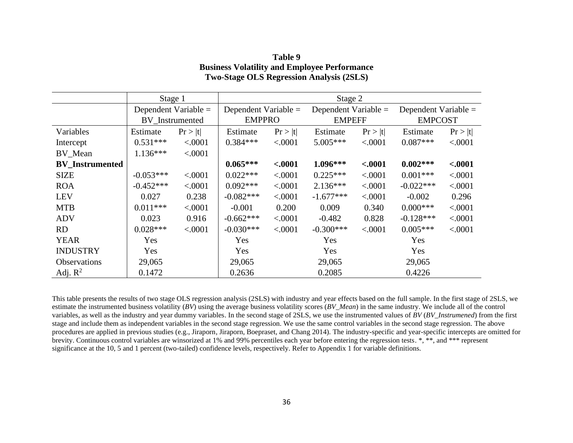|                        |             | Stage 1                |                      | Stage 2  |                        |          |                        |          |  |  |
|------------------------|-------------|------------------------|----------------------|----------|------------------------|----------|------------------------|----------|--|--|
|                        |             | Dependent Variable $=$ | Dependent Variable = |          | Dependent Variable $=$ |          | Dependent Variable $=$ |          |  |  |
|                        |             | BV_Instrumented        | <b>EMPPRO</b>        |          | <b>EMPEFF</b>          |          | <b>EMPCOST</b>         |          |  |  |
| Variables              | Estimate    | Pr >  t                | Estimate             | Pr >  t  | Estimate               | Pr >  t  | Estimate               | Pr >  t  |  |  |
| Intercept              | $0.531***$  | < .0001                | $0.384***$           | < .0001  | $5.005***$             | < .0001  | $0.087***$             | < .0001  |  |  |
| BV_Mean                | $1.136***$  | < .0001                |                      |          |                        |          |                        |          |  |  |
| <b>BV</b> Instrumented |             |                        | $0.065***$           | $-.0001$ | $1.096***$             | $-.0001$ | $0.002***$             | $-.0001$ |  |  |
| <b>SIZE</b>            | $-0.053***$ | < .0001                | $0.022***$           | < .0001  | $0.225***$             | < .0001  | $0.001***$             | < .0001  |  |  |
| <b>ROA</b>             | $-0.452***$ | < .0001                | $0.092***$           | < .0001  | $2.136***$             | < .0001  | $-0.022***$            | < .0001  |  |  |
| <b>LEV</b>             | 0.027       | 0.238                  | $-0.082***$          | < .0001  | $-1.677***$            | < .0001  | $-0.002$               | 0.296    |  |  |
| <b>MTB</b>             | $0.011***$  | < .0001                | $-0.001$             | 0.200    | 0.009                  | 0.340    | $0.000***$             | < .0001  |  |  |
| <b>ADV</b>             | 0.023       | 0.916                  | $-0.662***$          | < .0001  | $-0.482$               | 0.828    | $-0.128***$            | < .0001  |  |  |
| <b>RD</b>              | $0.028***$  | < .0001                | $-0.030***$          | < .0001  | $-0.300***$            | < .0001  | $0.005***$             | < .0001  |  |  |
| <b>YEAR</b>            | Yes         |                        | Yes                  |          | Yes                    |          | Yes                    |          |  |  |
| <b>INDUSTRY</b>        | Yes         |                        | Yes                  |          | Yes                    |          | Yes                    |          |  |  |
| <b>Observations</b>    | 29,065      |                        | 29,065               |          | 29,065                 |          | 29,065                 |          |  |  |
| Adj. $R^2$             | 0.1472      |                        | 0.2636               |          | 0.2085                 |          | 0.4226                 |          |  |  |

**Table 9 Business Volatility and Employee Performance Two-Stage OLS Regression Analysis (2SLS)**

This table presents the results of two stage OLS regression analysis (2SLS) with industry and year effects based on the full sample. In the first stage of 2SLS, we estimate the instrumented business volatility (*BV*) using the average business volatility scores (*BV\_Mean*) in the same industry. We include all of the control variables, as well as the industry and year dummy variables. In the second stage of 2SLS, we use the instrumented values of *BV* (*BV\_Instrumened*) from the first stage and include them as independent variables in the second stage regression. We use the same control variables in the second stage regression. The above procedures are applied in previous studies (e.g., Jiraporn, Jiraporn, Boepraset, and Chang 2014). The industry-specific and year-specific intercepts are omitted for brevity. Continuous control variables are winsorized at 1% and 99% percentiles each year before entering the regression tests. \*, \*\*, and \*\*\* represent significance at the 10, 5 and 1 percent (two-tailed) confidence levels, respectively. Refer to Appendix 1 for variable definitions.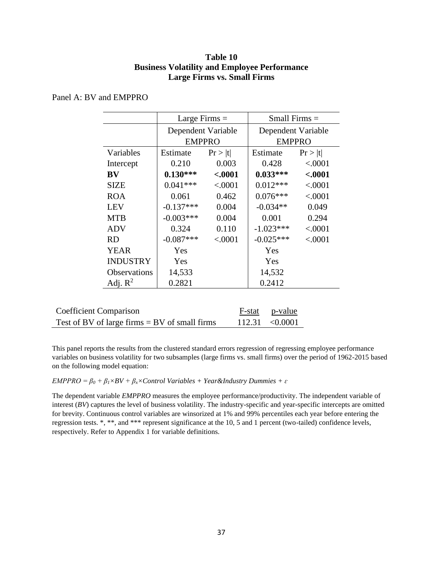# **Table 10 Business Volatility and Employee Performance Large Firms vs. Small Firms**

|                     | Large Firms $=$    |          | Small Firms $=$    |               |  |  |
|---------------------|--------------------|----------|--------------------|---------------|--|--|
|                     | Dependent Variable |          | Dependent Variable |               |  |  |
|                     | <b>EMPPRO</b>      |          |                    | <b>EMPPRO</b> |  |  |
| Variables           | Estimate           | Pr >  t  | Estimate           | Pr >  t       |  |  |
| Intercept           | 0.210              | 0.003    | 0.428              | < .0001       |  |  |
| <b>BV</b>           | $0.130***$         | $-.0001$ | $0.033***$         | < .0001       |  |  |
| <b>SIZE</b>         | $0.041***$         | < .0001  | $0.012***$         | < .0001       |  |  |
| <b>ROA</b>          | 0.061              | 0.462    | $0.076***$         | < .0001       |  |  |
| <b>LEV</b>          | $-0.137***$        | 0.004    | $-0.034**$         | 0.049         |  |  |
| <b>MTB</b>          | $-0.003***$        | 0.004    | 0.001              | 0.294         |  |  |
| <b>ADV</b>          | 0.324              | 0.110    | $-1.023***$        | < .0001       |  |  |
| <b>RD</b>           | $-0.087***$        | < .0001  | $-0.025***$        | < .0001       |  |  |
| <b>YEAR</b>         | Yes                |          | Yes                |               |  |  |
| <b>INDUSTRY</b>     | Yes                |          | Yes                |               |  |  |
| <b>Observations</b> | 14,533             |          | 14,532             |               |  |  |
| Adj. $R^2$          | 0.2821             |          | 0.2412             |               |  |  |

# Panel A: BV and EMPPRO

| <b>Coefficient Comparison</b>                   | F-stat p-value      |
|-------------------------------------------------|---------------------|
| Test of BV of large firms $=$ BV of small firms | $112.31 \le 0.0001$ |

This panel reports the results from the clustered standard errors regression of regressing employee performance variables on business volatility for two subsamples (large firms vs. small firms) over the period of 1962-2015 based on the following model equation:

## *EMPPRO* =  $\beta_0$  +  $\beta_1 \times BV$  +  $\beta_2 \times Control$  Variables + Year&Industry Dummies +  $\varepsilon$

The dependent variable *EMPPRO* measures the employee performance/productivity. The independent variable of interest (*BV*) captures the level of business volatility. The industry-specific and year-specific intercepts are omitted for brevity. Continuous control variables are winsorized at 1% and 99% percentiles each year before entering the regression tests. \*, \*\*, and \*\*\* represent significance at the 10, 5 and 1 percent (two-tailed) confidence levels, respectively. Refer to Appendix 1 for variable definitions.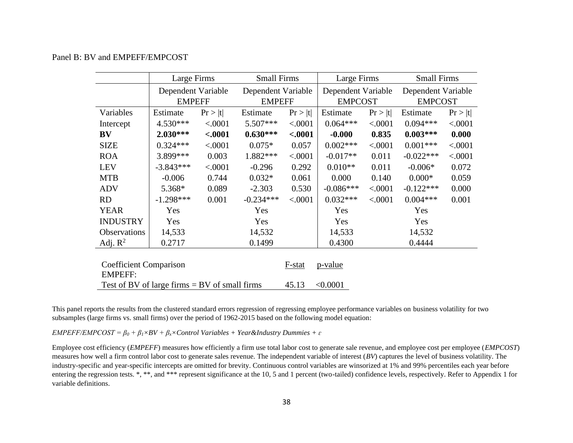# Panel B: BV and EMPEFF/EMPCOST

|                                                 | Large Firms        |          | <b>Small Firms</b> |          | Large Firms        |         | <b>Small Firms</b> |         |
|-------------------------------------------------|--------------------|----------|--------------------|----------|--------------------|---------|--------------------|---------|
|                                                 | Dependent Variable |          | Dependent Variable |          | Dependent Variable |         | Dependent Variable |         |
|                                                 | <b>EMPEFF</b>      |          | <b>EMPEFF</b>      |          | <b>EMPCOST</b>     |         | <b>EMPCOST</b>     |         |
| Variables                                       | Estimate           | Pr >  t  | Estimate           | Pr >  t  | Estimate           | Pr >  t | Estimate           | Pr >  t |
| Intercept                                       | $4.530***$         | < .0001  | $5.507***$         | < .0001  | $0.064***$         | < .0001 | $0.094***$         | < .0001 |
| BV                                              | $2.030***$         | $-.0001$ | $0.630***$         | $-.0001$ | $-0.000$           | 0.835   | $0.003***$         | 0.000   |
| <b>SIZE</b>                                     | $0.324***$         | < .0001  | $0.075*$           | 0.057    | $0.002***$         | < .0001 | $0.001***$         | < .0001 |
| <b>ROA</b>                                      | 3.899 ***          | 0.003    | 1.882***           | < .0001  | $-0.017**$         | 0.011   | $-0.022***$        | < .0001 |
| <b>LEV</b>                                      | $-3.843***$        | < .0001  | $-0.296$           | 0.292    | $0.010**$          | 0.011   | $-0.006*$          | 0.072   |
| <b>MTB</b>                                      | $-0.006$           | 0.744    | $0.032*$           | 0.061    | 0.000              | 0.140   | $0.000*$           | 0.059   |
| <b>ADV</b>                                      | 5.368*             | 0.089    | $-2.303$           | 0.530    | $-0.086***$        | < .0001 | $-0.122***$        | 0.000   |
| <b>RD</b>                                       | $-1.298***$        | 0.001    | $-0.234***$        | < .0001  | $0.032***$         | < .0001 | $0.004***$         | 0.001   |
| <b>YEAR</b>                                     | Yes                |          | Yes                |          | Yes                | Yes     |                    |         |
| <b>INDUSTRY</b>                                 | Yes                |          | Yes                |          | Yes                | Yes     |                    |         |
| Observations                                    | 14,533             |          | 14,532             |          | 14,533             | 14,532  |                    |         |
| Adj. $R^2$                                      | 0.2717             |          | 0.1499             |          | 0.4300             |         | 0.4444             |         |
| <b>Coefficient Comparison</b><br><b>EMPEFF:</b> |                    |          |                    | F-stat   | p-value            |         |                    |         |
| Test of BV of large firms $=$ BV of small firms |                    |          | 45.13              | < 0.0001 |                    |         |                    |         |

This panel reports the results from the clustered standard errors regression of regressing employee performance variables on business volatility for two subsamples (large firms vs. small firms) over the period of 1962-2015 based on the following model equation:

*EMPEFF/EMPCOST* =  $\beta_0$  +  $\beta_1 \times BV$  +  $\beta_2 \times Control$  Variables + Year&Industry Dummies +  $\varepsilon$ 

Employee cost efficiency (*EMPEFF*) measures how efficiently a firm use total labor cost to generate sale revenue, and employee cost per employee (*EMPCOST*) measures how well a firm control labor cost to generate sales revenue. The independent variable of interest (*BV*) captures the level of business volatility. The industry-specific and year-specific intercepts are omitted for brevity. Continuous control variables are winsorized at 1% and 99% percentiles each year before entering the regression tests. \*, \*\*, and \*\*\* represent significance at the 10, 5 and 1 percent (two-tailed) confidence levels, respectively. Refer to Appendix 1 for variable definitions.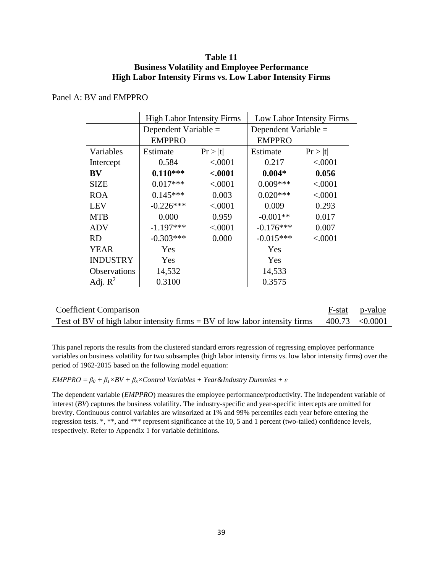# **Table 11 Business Volatility and Employee Performance High Labor Intensity Firms vs. Low Labor Intensity Firms**

# Panel A: BV and EMPPRO

|                     | <b>High Labor Intensity Firms</b> |         | Low Labor Intensity Firms |                        |  |  |
|---------------------|-----------------------------------|---------|---------------------------|------------------------|--|--|
|                     | Dependent Variable =              |         |                           | Dependent Variable $=$ |  |  |
|                     | <b>EMPPRO</b>                     |         | <b>EMPPRO</b>             |                        |  |  |
| Variables           | Estimate                          | Pr >  t | Estimate                  | Pr >  t                |  |  |
| Intercept           | 0.584                             | < .0001 | 0.217                     | < .0001                |  |  |
| BV                  | $0.110***$                        | < .0001 | $0.004*$                  | 0.056                  |  |  |
| <b>SIZE</b>         | $0.017***$                        | < .0001 | $0.009***$                | < .0001                |  |  |
| <b>ROA</b>          | $0.145***$                        | 0.003   | $0.020***$                | < .0001                |  |  |
| <b>LEV</b>          | $-0.226***$                       | < .0001 | 0.009                     | 0.293                  |  |  |
| <b>MTB</b>          | 0.000                             | 0.959   | $-0.001**$                | 0.017                  |  |  |
| <b>ADV</b>          | $-1.197***$                       | < .0001 | $-0.176***$               | 0.007                  |  |  |
| <b>RD</b>           | $-0.303***$                       | 0.000   | $-0.015***$               | < .0001                |  |  |
| <b>YEAR</b>         | Yes                               |         | Yes                       |                        |  |  |
| <b>INDUSTRY</b>     | Yes                               |         | Yes                       |                        |  |  |
| <b>Observations</b> | 14,532                            |         | 14,533                    |                        |  |  |
| Adj. $R^2$          | 0.3100                            |         | 0.3575                    |                        |  |  |

| <b>Coefficient Comparison</b>                                                               | F-stat p-value |
|---------------------------------------------------------------------------------------------|----------------|
| Test of BV of high labor intensity firms = BV of low labor intensity firms $400.73$ <0.0001 |                |

This panel reports the results from the clustered standard errors regression of regressing employee performance variables on business volatility for two subsamples (high labor intensity firms vs. low labor intensity firms) over the period of 1962-2015 based on the following model equation:

*EMPPRO* =  $\beta_0$  +  $\beta_1 \times BV$  +  $\beta_2 \times Control$  Variables + Year&Industry Dummies +  $\varepsilon$ 

The dependent variable (*EMPPRO*) measures the employee performance/productivity. The independent variable of interest (*BV*) captures the business volatility. The industry-specific and year-specific intercepts are omitted for brevity. Continuous control variables are winsorized at 1% and 99% percentiles each year before entering the regression tests. \*, \*\*, and \*\*\* represent significance at the 10, 5 and 1 percent (two-tailed) confidence levels, respectively. Refer to Appendix 1 for variable definitions.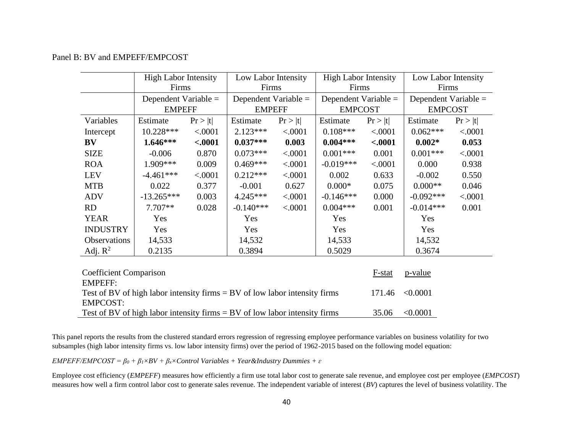# Panel B: BV and EMPEFF/EMPCOST

|                                                                              | <b>High Labor Intensity</b> |          | Low Labor Intensity  |         | <b>High Labor Intensity</b> |          | Low Labor Intensity  |         |
|------------------------------------------------------------------------------|-----------------------------|----------|----------------------|---------|-----------------------------|----------|----------------------|---------|
|                                                                              | Firms                       |          | Firms                |         | Firms                       |          | Firms                |         |
|                                                                              | Dependent Variable =        |          | Dependent Variable = |         | Dependent Variable =        |          | Dependent Variable = |         |
|                                                                              | <b>EMPEFF</b>               |          | <b>EMPEFF</b>        |         | <b>EMPCOST</b>              |          | <b>EMPCOST</b>       |         |
| Variables                                                                    | Estimate                    | Pr >  t  | Estimate             | Pr >  t | Estimate                    | Pr >  t  | Estimate             | Pr >  t |
| Intercept                                                                    | 10.228***                   | < .0001  | $2.123***$           | < .0001 | $0.108***$                  | < .0001  | $0.062***$           | < .0001 |
| $\mathbf{B}\mathbf{V}$                                                       | $1.646***$                  | $-.0001$ | $0.037***$           | 0.003   | $0.004***$                  | $-.0001$ | $0.002*$             | 0.053   |
| <b>SIZE</b>                                                                  | $-0.006$                    | 0.870    | $0.073***$           | < .0001 | $0.001***$                  | 0.001    | $0.001***$           | < .0001 |
| <b>ROA</b>                                                                   | 1.909***                    | 0.009    | $0.469***$           | < .0001 | $-0.019***$                 | < .0001  | 0.000                | 0.938   |
| <b>LEV</b>                                                                   | $-4.461***$                 | < .0001  | $0.212***$           | < .0001 | 0.002                       | 0.633    | $-0.002$             | 0.550   |
| <b>MTB</b>                                                                   | 0.022                       | 0.377    | $-0.001$             | 0.627   | $0.000*$                    | 0.075    | $0.000**$            | 0.046   |
| <b>ADV</b>                                                                   | $-13.265***$                | 0.003    | $4.245***$           | < .0001 | $-0.146***$                 | 0.000    | $-0.092***$          | < .0001 |
| <b>RD</b>                                                                    | $7.707**$                   | 0.028    | $-0.140***$          | < .0001 | $0.004***$                  | 0.001    | $-0.014***$          | 0.001   |
| <b>YEAR</b>                                                                  | Yes                         |          | Yes                  |         | Yes                         |          | Yes                  |         |
| <b>INDUSTRY</b>                                                              | Yes                         |          | Yes                  |         | Yes                         |          | Yes                  |         |
| Observations                                                                 | 14,533                      |          | 14,532               |         | 14,533                      |          | 14,532               |         |
| Adj. $R^2$                                                                   | 0.2135                      |          | 0.3894               |         | 0.5029                      |          | 0.3674               |         |
|                                                                              |                             |          |                      |         |                             |          |                      |         |
| <b>Coefficient Comparison</b>                                                |                             |          |                      |         |                             | $F-stat$ | p-value              |         |
| <b>EMPEFF:</b>                                                               |                             |          |                      |         |                             |          |                      |         |
| Test of BV of high labor intensity firms $=$ BV of low labor intensity firms |                             |          |                      |         |                             | 171.46   | < 0.0001             |         |
| <b>EMPCOST:</b>                                                              |                             |          |                      |         |                             |          |                      |         |
| Test of BV of high labor intensity firms $=$ BV of low labor intensity firms |                             |          |                      |         |                             | 35.06    | < 0.0001             |         |

This panel reports the results from the clustered standard errors regression of regressing employee performance variables on business volatility for two subsamples (high labor intensity firms vs. low labor intensity firms) over the period of 1962-2015 based on the following model equation:

*EMPEFF/EMPCOST* =  $\beta_0$  +  $\beta_1 \times BV$  +  $\beta_2 \times Control$  Variables + Year&Industry Dummies +  $\varepsilon$ 

Employee cost efficiency (*EMPEFF*) measures how efficiently a firm use total labor cost to generate sale revenue, and employee cost per employee (*EMPCOST*) measures how well a firm control labor cost to generate sales revenue. The independent variable of interest (*BV*) captures the level of business volatility. The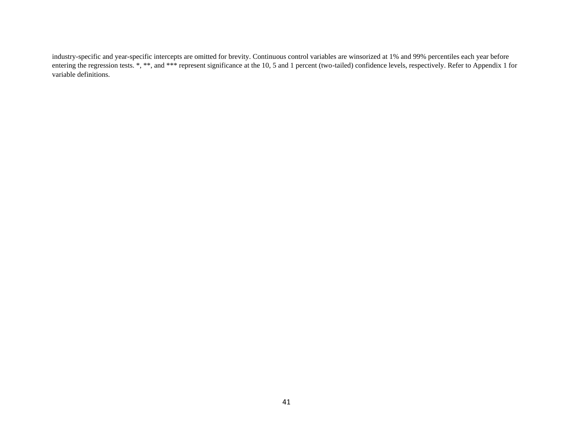industry-specific and year-specific intercepts are omitted for brevity. Continuous control variables are winsorized at 1% and 99% percentiles each year before entering the regression tests. \*, \*\*, and \*\*\* represent significance at the 10, 5 and 1 percent (two-tailed) confidence levels, respectively. Refer to Appendix 1 for variable definitions.